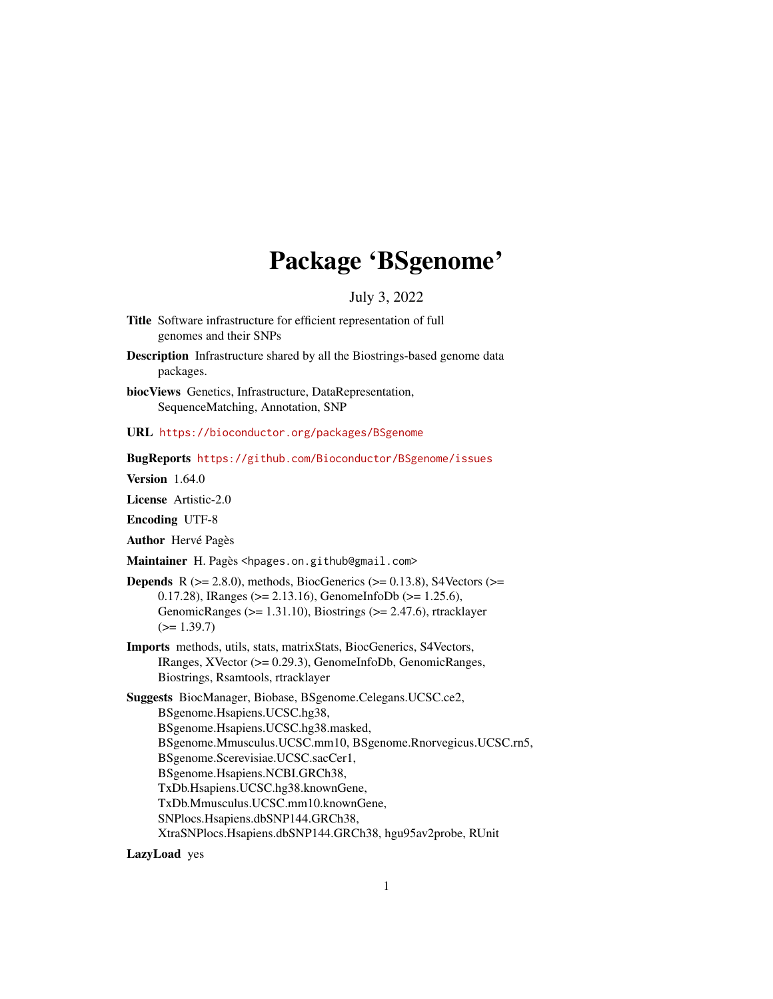## Package 'BSgenome'

July 3, 2022

- <span id="page-0-0"></span>Title Software infrastructure for efficient representation of full genomes and their SNPs
- Description Infrastructure shared by all the Biostrings-based genome data packages.
- biocViews Genetics, Infrastructure, DataRepresentation, SequenceMatching, Annotation, SNP
- URL <https://bioconductor.org/packages/BSgenome>

BugReports <https://github.com/Bioconductor/BSgenome/issues>

**Version** 1.64.0

License Artistic-2.0

Encoding UTF-8

Author Hervé Pagès

Maintainer H. Pagès <hpages.on.github@gmail.com>

- **Depends** R ( $>= 2.8.0$ ), methods, BiocGenerics ( $>= 0.13.8$ ), S4Vectors ( $>=$ 0.17.28), IRanges (>= 2.13.16), GenomeInfoDb (>= 1.25.6), GenomicRanges ( $>= 1.31.10$ ), Biostrings ( $>= 2.47.6$ ), rtracklayer  $(>= 1.39.7)$
- Imports methods, utils, stats, matrixStats, BiocGenerics, S4Vectors, IRanges, XVector (>= 0.29.3), GenomeInfoDb, GenomicRanges, Biostrings, Rsamtools, rtracklayer

Suggests BiocManager, Biobase, BSgenome.Celegans.UCSC.ce2, BSgenome.Hsapiens.UCSC.hg38, BSgenome.Hsapiens.UCSC.hg38.masked, BSgenome.Mmusculus.UCSC.mm10, BSgenome.Rnorvegicus.UCSC.rn5, BSgenome.Scerevisiae.UCSC.sacCer1, BSgenome.Hsapiens.NCBI.GRCh38, TxDb.Hsapiens.UCSC.hg38.knownGene, TxDb.Mmusculus.UCSC.mm10.knownGene, SNPlocs.Hsapiens.dbSNP144.GRCh38, XtraSNPlocs.Hsapiens.dbSNP144.GRCh38, hgu95av2probe, RUnit

LazyLoad yes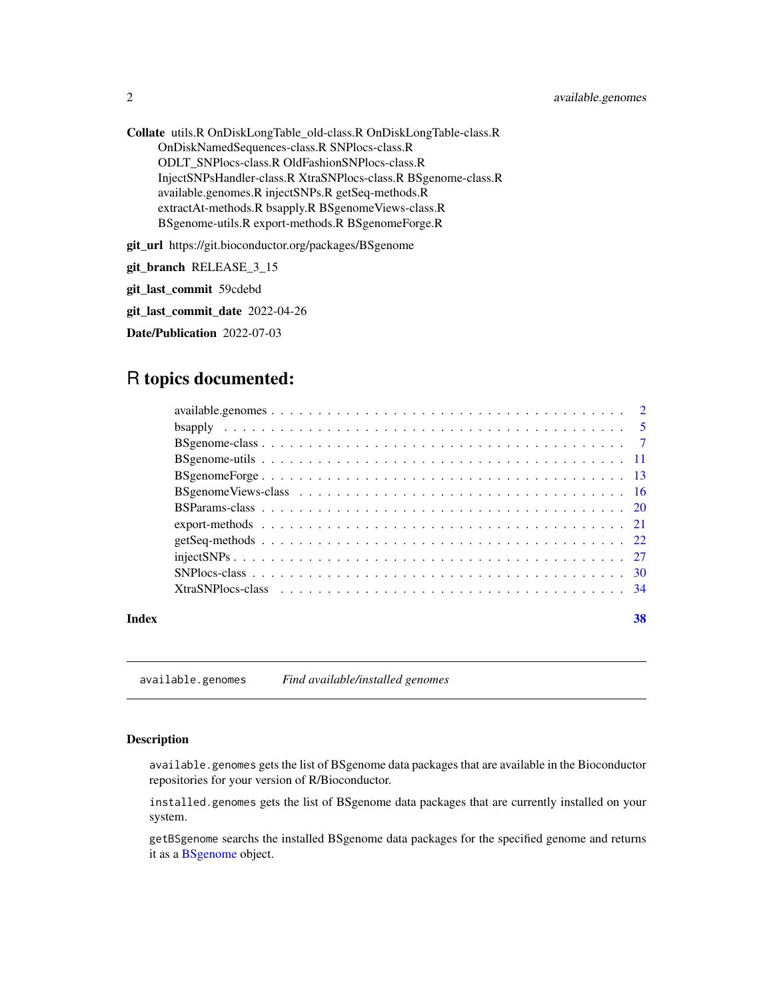<span id="page-1-0"></span>Collate utils.R OnDiskLongTable\_old-class.R OnDiskLongTable-class.R OnDiskNamedSequences-class.R SNPlocs-class.R ODLT\_SNPlocs-class.R OldFashionSNPlocs-class.R InjectSNPsHandler-class.R XtraSNPlocs-class.R BSgenome-class.R available.genomes.R injectSNPs.R getSeq-methods.R extractAt-methods.R bsapply.R BSgenomeViews-class.R BSgenome-utils.R export-methods.R BSgenomeForge.R

git\_url https://git.bioconductor.org/packages/BSgenome

git\_branch RELEASE\_3\_15

git\_last\_commit 59cdebd

git\_last\_commit\_date 2022-04-26

Date/Publication 2022-07-03

## R topics documented:

#### **Index** [38](#page-37-0)

<span id="page-1-1"></span>available.genomes *Find available/installed genomes*

## <span id="page-1-2"></span>Description

available.genomes gets the list of BSgenome data packages that are available in the Bioconductor repositories for your version of R/Bioconductor.

installed.genomes gets the list of BSgenome data packages that are currently installed on your system.

getBSgenome searchs the installed BSgenome data packages for the specified genome and returns it as a [BSgenome](#page-6-1) object.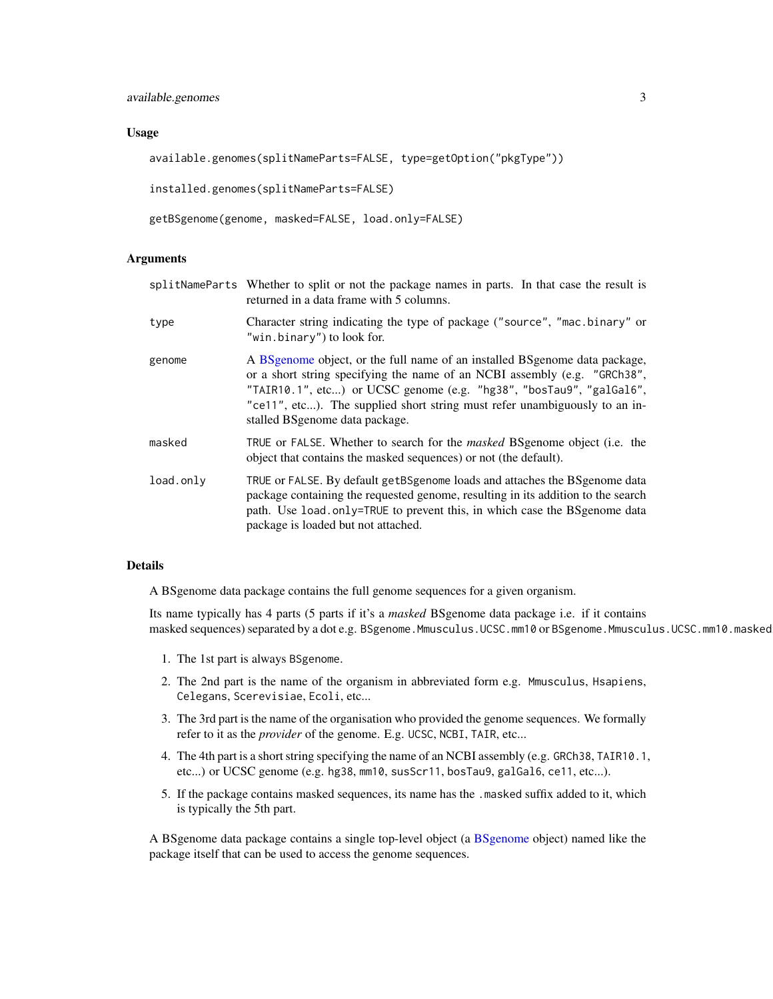#### Usage

```
available.genomes(splitNameParts=FALSE, type=getOption("pkgType"))
```
installed.genomes(splitNameParts=FALSE)

```
getBSgenome(genome, masked=FALSE, load.only=FALSE)
```
## Arguments

|           | splitNameParts Whether to split or not the package names in parts. In that case the result is<br>returned in a data frame with 5 columns.                                                                                                                                                                                                         |
|-----------|---------------------------------------------------------------------------------------------------------------------------------------------------------------------------------------------------------------------------------------------------------------------------------------------------------------------------------------------------|
| type      | Character string indicating the type of package ("source", "mac.binary" or<br>"win.binary") to look for.                                                                                                                                                                                                                                          |
| genome    | A BS genome object, or the full name of an installed BS genome data package,<br>or a short string specifying the name of an NCBI assembly (e.g. "GRCh38",<br>"TAIR10.1", etc) or UCSC genome (e.g. "hg38", "bosTau9", "galGal6",<br>"ce11", etc). The supplied short string must refer unambiguously to an in-<br>stalled BS genome data package. |
| masked    | TRUE or FALSE. Whether to search for the <i>masked</i> BSgenome object (i.e. the<br>object that contains the masked sequences) or not (the default).                                                                                                                                                                                              |
| load.only | TRUE or FALSE. By default getBSgenome loads and attaches the BSgenome data<br>package containing the requested genome, resulting in its addition to the search<br>path. Use load only=TRUE to prevent this, in which case the BSgenome data<br>package is loaded but not attached.                                                                |

## Details

A BSgenome data package contains the full genome sequences for a given organism.

Its name typically has 4 parts (5 parts if it's a *masked* BSgenome data package i.e. if it contains masked sequences) separated by a dot e.g. BSgenome.Mmusculus.UCSC.mm10 or BSgenome.Mmusculus.UCSC.mm10.masked:

- 1. The 1st part is always BSgenome.
- 2. The 2nd part is the name of the organism in abbreviated form e.g. Mmusculus, Hsapiens, Celegans, Scerevisiae, Ecoli, etc...
- 3. The 3rd part is the name of the organisation who provided the genome sequences. We formally refer to it as the *provider* of the genome. E.g. UCSC, NCBI, TAIR, etc...
- 4. The 4th part is a short string specifying the name of an NCBI assembly (e.g. GRCh38, TAIR10.1, etc...) or UCSC genome (e.g. hg38, mm10, susScr11, bosTau9, galGal6, ce11, etc...).
- 5. If the package contains masked sequences, its name has the .masked suffix added to it, which is typically the 5th part.

A BSgenome data package contains a single top-level object (a [BSgenome](#page-6-1) object) named like the package itself that can be used to access the genome sequences.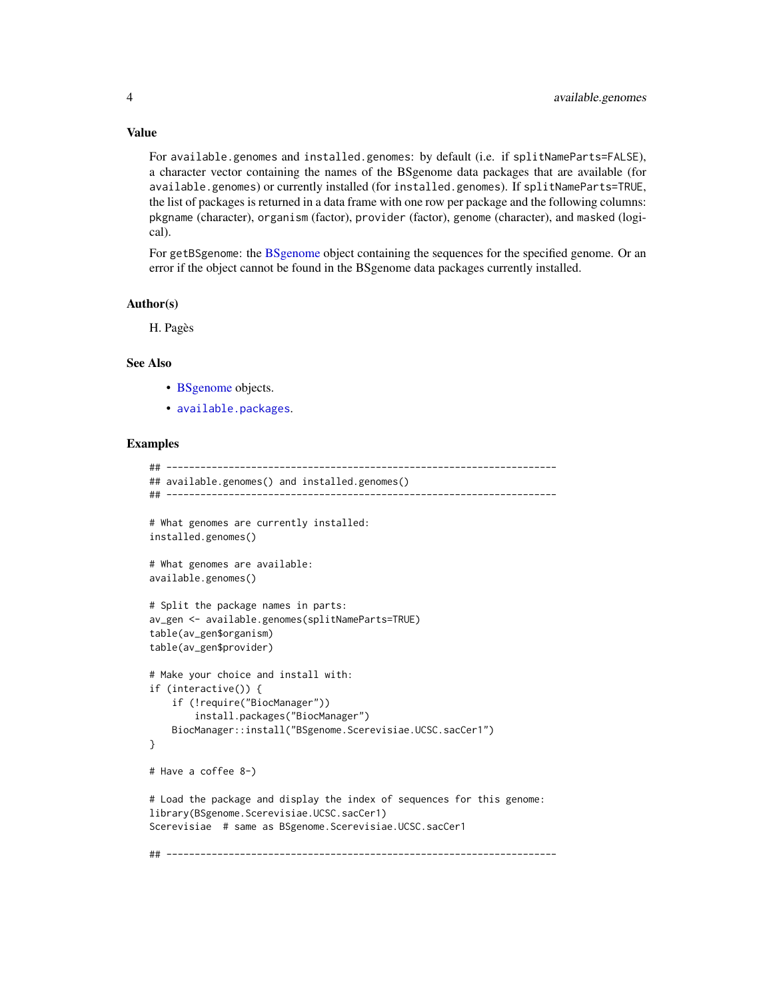### Value

For available.genomes and installed.genomes: by default (i.e. if splitNameParts=FALSE), a character vector containing the names of the BSgenome data packages that are available (for available.genomes) or currently installed (for installed.genomes). If splitNameParts=TRUE, the list of packages is returned in a data frame with one row per package and the following columns: pkgname (character), organism (factor), provider (factor), genome (character), and masked (logical).

For getBSgenome: the [BSgenome](#page-6-1) object containing the sequences for the specified genome. Or an error if the object cannot be found in the BSgenome data packages currently installed.

#### Author(s)

H. Pagès

## See Also

- [BSgenome](#page-6-1) objects.
- [available.packages](#page-0-0).

## Examples

```
## ---------------------------------------------------------------------
## available.genomes() and installed.genomes()
## ---------------------------------------------------------------------
# What genomes are currently installed:
installed.genomes()
# What genomes are available:
available.genomes()
# Split the package names in parts:
av_gen <- available.genomes(splitNameParts=TRUE)
table(av_gen$organism)
table(av_gen$provider)
# Make your choice and install with:
if (interactive()) {
    if (!require("BiocManager"))
        install.packages("BiocManager")
    BiocManager::install("BSgenome.Scerevisiae.UCSC.sacCer1")
}
# Have a coffee 8-)
# Load the package and display the index of sequences for this genome:
library(BSgenome.Scerevisiae.UCSC.sacCer1)
Scerevisiae # same as BSgenome.Scerevisiae.UCSC.sacCer1
## ---------------------------------------------------------------------
```
<span id="page-3-0"></span>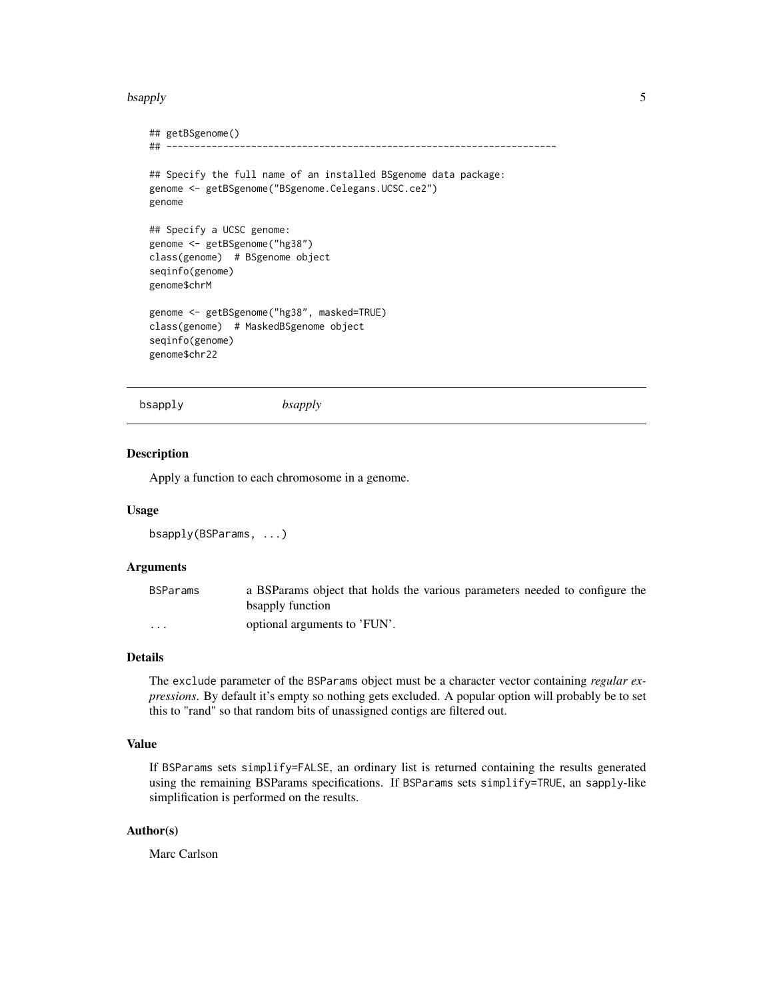#### <span id="page-4-0"></span>bsapply 5

```
## getBSgenome()
## ---------------------------------------------------------------------
## Specify the full name of an installed BSgenome data package:
genome <- getBSgenome("BSgenome.Celegans.UCSC.ce2")
genome
## Specify a UCSC genome:
genome <- getBSgenome("hg38")
class(genome) # BSgenome object
seqinfo(genome)
genome$chrM
genome <- getBSgenome("hg38", masked=TRUE)
class(genome) # MaskedBSgenome object
seqinfo(genome)
genome$chr22
```

```
bsapply bsapply
```
#### Description

Apply a function to each chromosome in a genome.

#### Usage

```
bsapply(BSParams, ...)
```
## Arguments

| <b>BSParams</b> | a BSParams object that holds the various parameters needed to configure the |
|-----------------|-----------------------------------------------------------------------------|
|                 | bsapply function                                                            |
| $\cdots$        | optional arguments to 'FUN'.                                                |

## Details

The exclude parameter of the BSParams object must be a character vector containing *regular expressions*. By default it's empty so nothing gets excluded. A popular option will probably be to set this to "rand" so that random bits of unassigned contigs are filtered out.

## Value

If BSParams sets simplify=FALSE, an ordinary list is returned containing the results generated using the remaining BSParams specifications. If BSParams sets simplify=TRUE, an sapply-like simplification is performed on the results.

## Author(s)

Marc Carlson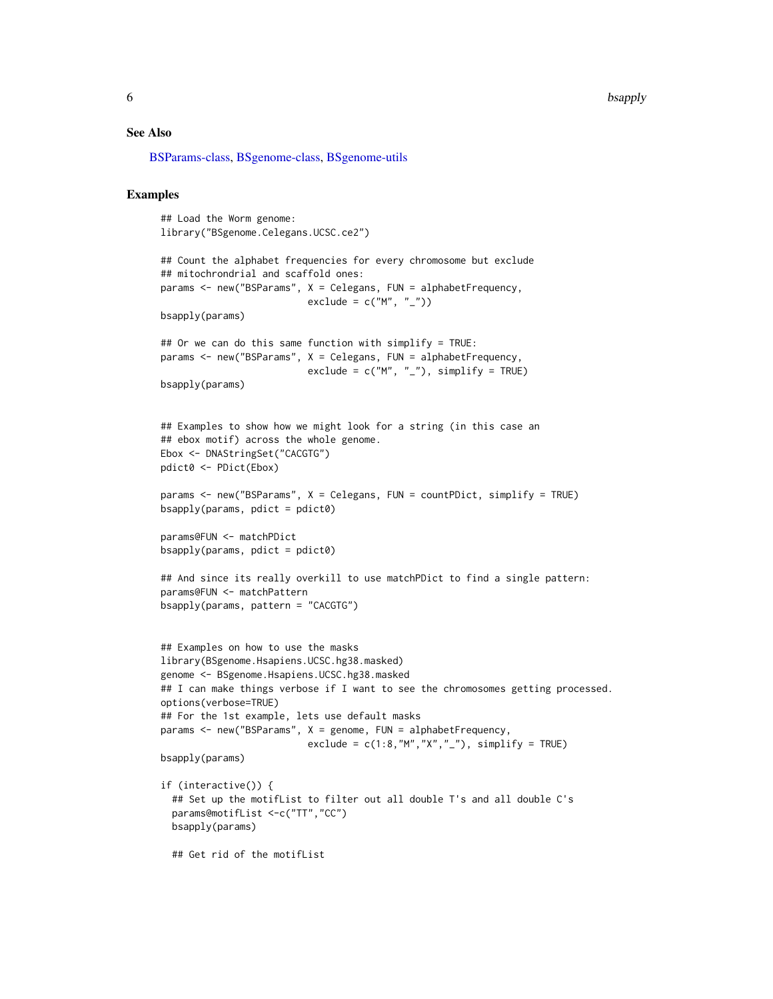<span id="page-5-0"></span>6 bsapply box and the contract of the contract of the contract of the contract of the contract of the contract of the contract of the contract of the contract of the contract of the contract of the contract of the contract

### See Also

[BSParams-class,](#page-19-1) [BSgenome-class,](#page-6-2) [BSgenome-utils](#page-10-1)

## Examples

## Load the Worm genome: library("BSgenome.Celegans.UCSC.ce2")

```
## Count the alphabet frequencies for every chromosome but exclude
## mitochrondrial and scaffold ones:
params <- new("BSParams", X = Celegans, FUN = alphabetFrequency,
                          exclude = c("M", "__")
```
bsapply(params)

```
## Or we can do this same function with simplify = TRUE:
params <- new("BSParams", X = Celegans, FUN = alphabetFrequency,
                          exclude = c("M", "__"), simplify = TRUE)
```

```
bsapply(params)
```

```
## Examples to show how we might look for a string (in this case an
## ebox motif) across the whole genome.
Ebox <- DNAStringSet("CACGTG")
pdict0 <- PDict(Ebox)
```

```
params <- new("BSParams", X = Celegans, FUN = countPDict, simplify = TRUE)
bsapply(params, plot = plot0)
```
params@FUN <- matchPDict bsapply(params, pdict = pdict0)

```
## And since its really overkill to use matchPDict to find a single pattern:
params@FUN <- matchPattern
bsapply(params, pattern = "CACGTG")
```

```
## Examples on how to use the masks
library(BSgenome.Hsapiens.UCSC.hg38.masked)
genome <- BSgenome.Hsapiens.UCSC.hg38.masked
## I can make things verbose if I want to see the chromosomes getting processed.
options(verbose=TRUE)
## For the 1st example, lets use default masks
params <- new("BSParams", X = genome, FUN = alphabetFrequency,
                          exclude = c(1:8, "M", "X", "-"), simplify = TRUE)
```
bsapply(params)

```
if (interactive()) {
  ## Set up the motifList to filter out all double T's and all double C's
 params@motifList <-c("TT","CC")
 bsapply(params)
```
## Get rid of the motifList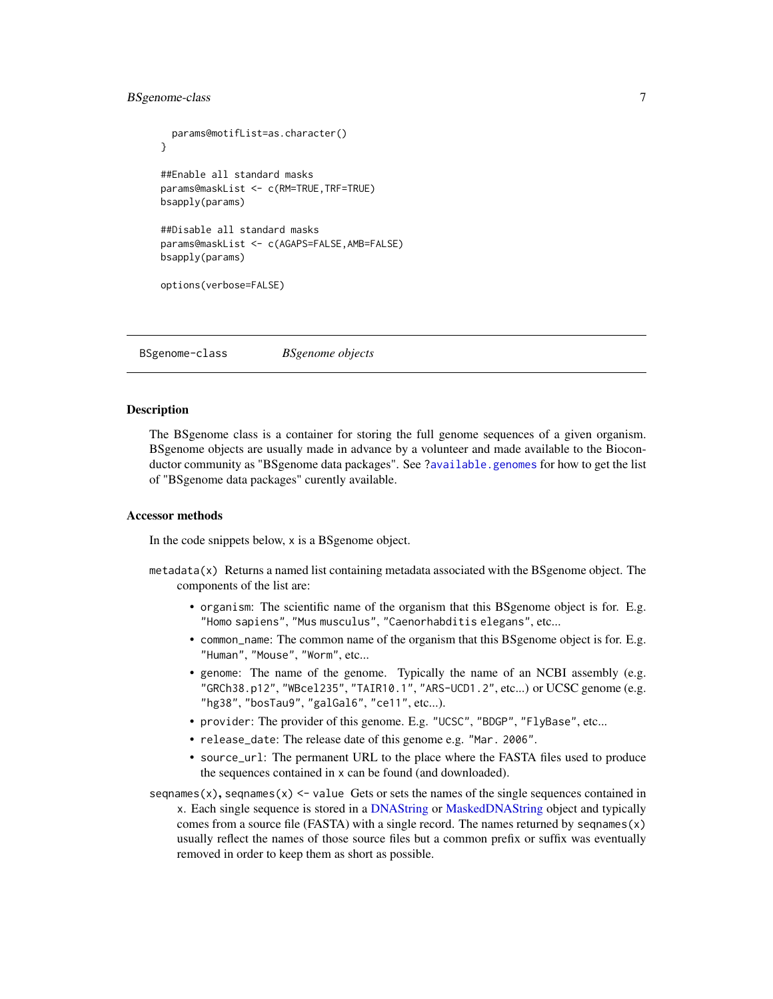## <span id="page-6-0"></span>BSgenome-class 7

```
params@motifList=as.character()
}
##Enable all standard masks
params@maskList <- c(RM=TRUE,TRF=TRUE)
bsapply(params)
##Disable all standard masks
params@maskList <- c(AGAPS=FALSE,AMB=FALSE)
bsapply(params)
options(verbose=FALSE)
```
<span id="page-6-2"></span>BSgenome-class *BSgenome objects*

## <span id="page-6-1"></span>Description

The BSgenome class is a container for storing the full genome sequences of a given organism. BSgenome objects are usually made in advance by a volunteer and made available to the Biocon-ductor community as "BSgenome data packages". See [?available.genomes](#page-1-1) for how to get the list of "BSgenome data packages" curently available.

#### Accessor methods

In the code snippets below, x is a BSgenome object.

- $meta$  at  $(x)$  Returns a named list containing metadata associated with the BS genome object. The components of the list are:
	- organism: The scientific name of the organism that this BSgenome object is for. E.g. "Homo sapiens", "Mus musculus", "Caenorhabditis elegans", etc...
	- common\_name: The common name of the organism that this BSgenome object is for. E.g. "Human", "Mouse", "Worm", etc...
	- genome: The name of the genome. Typically the name of an NCBI assembly (e.g. "GRCh38.p12", "WBcel235", "TAIR10.1", "ARS-UCD1.2", etc...) or UCSC genome (e.g. "hg38", "bosTau9", "galGal6", "ce11", etc...).
	- provider: The provider of this genome. E.g. "UCSC", "BDGP", "FlyBase", etc...
	- release\_date: The release date of this genome e.g. "Mar. 2006".
	- source\_url: The permanent URL to the place where the FASTA files used to produce the sequences contained in x can be found (and downloaded).
- sequames(x), sequames(x)  $\le$  value Gets or sets the names of the single sequences contained in x. Each single sequence is stored in a [DNAString](#page-0-0) or [MaskedDNAString](#page-0-0) object and typically comes from a source file (FASTA) with a single record. The names returned by seqnames $(x)$ usually reflect the names of those source files but a common prefix or suffix was eventually removed in order to keep them as short as possible.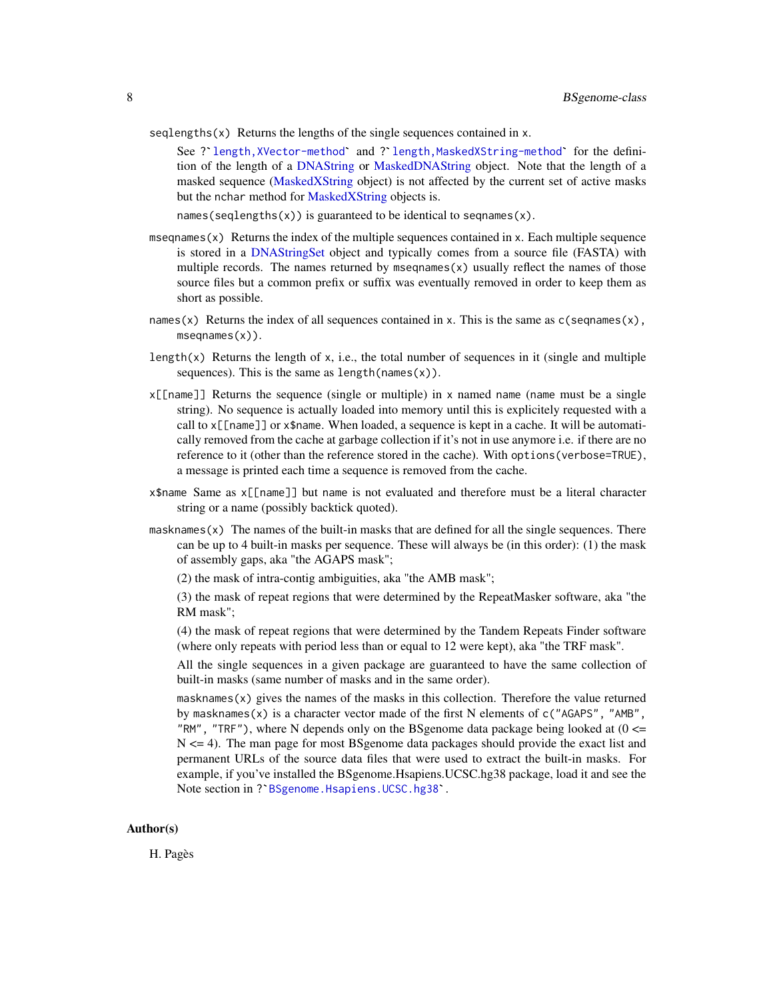- <span id="page-7-0"></span> $seqlengths(x)$  Returns the lengths of the single sequences contained in x.
	- See ?`[length,XVector-method](#page-0-0)` and ?`[length,MaskedXString-method](#page-0-0)` for the definition of the length of a [DNAString](#page-0-0) or [MaskedDNAString](#page-0-0) object. Note that the length of a masked sequence [\(MaskedXString](#page-0-0) object) is not affected by the current set of active masks but the nchar method for [MaskedXString](#page-0-0) objects is.

names(seqlengths(x)) is guaranteed to be identical to seqnames(x).

- mseqnames(x) Returns the index of the multiple sequences contained in x. Each multiple sequence is stored in a [DNAStringSet](#page-0-0) object and typically comes from a source file (FASTA) with multiple records. The names returned by mseqnames $(x)$  usually reflect the names of those source files but a common prefix or suffix was eventually removed in order to keep them as short as possible.
- names(x) Returns the index of all sequences contained in x. This is the same as  $c$ (seqnames(x), mseqnames(x)).
- length(x) Returns the length of x, i.e., the total number of sequences in it (single and multiple sequences). This is the same as  $length(name(x))$ .
- x[[name]] Returns the sequence (single or multiple) in x named name (name must be a single string). No sequence is actually loaded into memory until this is explicitely requested with a call to x[[name]] or x\$name. When loaded, a sequence is kept in a cache. It will be automatically removed from the cache at garbage collection if it's not in use anymore i.e. if there are no reference to it (other than the reference stored in the cache). With options(verbose=TRUE), a message is printed each time a sequence is removed from the cache.
- x\$name Same as x[[name]] but name is not evaluated and therefore must be a literal character string or a name (possibly backtick quoted).
- masknames(x) The names of the built-in masks that are defined for all the single sequences. There can be up to 4 built-in masks per sequence. These will always be (in this order): (1) the mask of assembly gaps, aka "the AGAPS mask";
	- (2) the mask of intra-contig ambiguities, aka "the AMB mask";
	- (3) the mask of repeat regions that were determined by the RepeatMasker software, aka "the RM mask";
	- (4) the mask of repeat regions that were determined by the Tandem Repeats Finder software (where only repeats with period less than or equal to 12 were kept), aka "the TRF mask".

All the single sequences in a given package are guaranteed to have the same collection of built-in masks (same number of masks and in the same order).

masknames $(x)$  gives the names of the masks in this collection. Therefore the value returned by masknames(x) is a character vector made of the first N elements of  $c("AGAPS", "AMB",$ "RM", "TRF"), where N depends only on the BSgenome data package being looked at  $(0 \le$ N <= 4). The man page for most BSgenome data packages should provide the exact list and permanent URLs of the source data files that were used to extract the built-in masks. For example, if you've installed the BSgenome.Hs permanent URLs of the source data files that were used to extract the built-in masks. For example, if you've installed the BSgenome.Hsapiens.UCSC.hg38 package, load it and see the

#### Author(s)

H. Pagès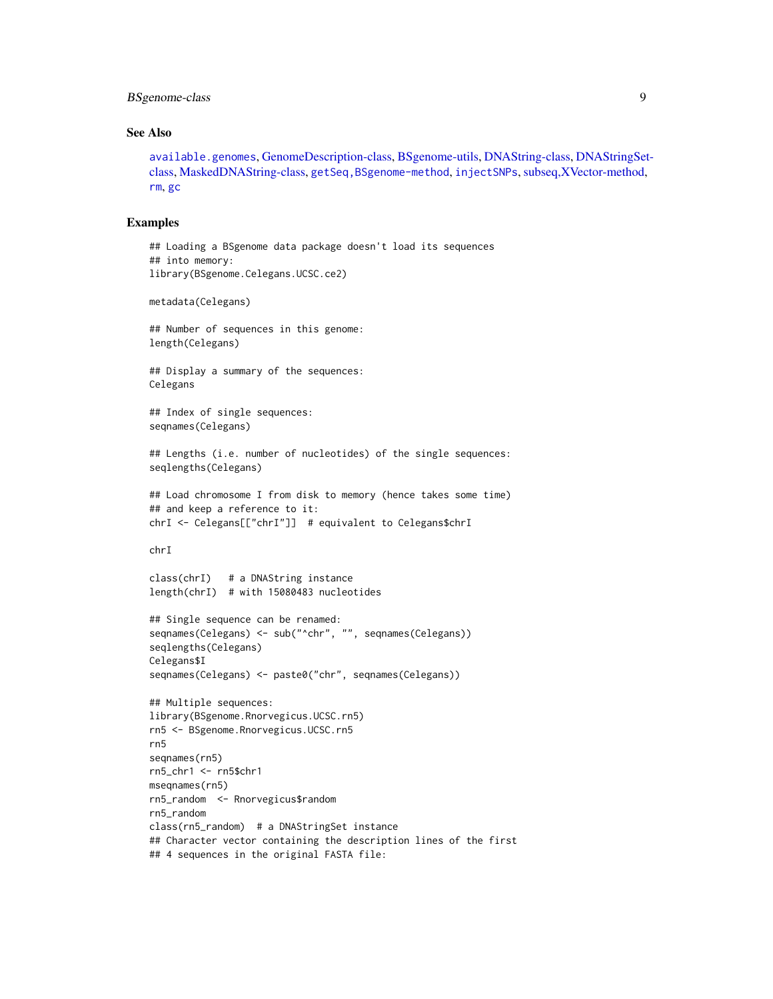## <span id="page-8-0"></span>BSgenome-class 9

## See Also

[available.genomes](#page-1-1), [GenomeDescription-class,](#page-0-0) [BSgenome-utils,](#page-10-1) [DNAString-class,](#page-0-0) [DNAStringSet](#page-0-0)[class,](#page-0-0) [MaskedDNAString-class,](#page-0-0) [getSeq,BSgenome-method](#page-0-0), [injectSNPs](#page-26-1), [subseq,XVector-method,](#page-0-0) [rm](#page-0-0), [gc](#page-0-0)

## Examples

```
## Loading a BSgenome data package doesn't load its sequences
## into memory:
library(BSgenome.Celegans.UCSC.ce2)
metadata(Celegans)
## Number of sequences in this genome:
length(Celegans)
## Display a summary of the sequences:
Celegans
## Index of single sequences:
seqnames(Celegans)
## Lengths (i.e. number of nucleotides) of the single sequences:
seqlengths(Celegans)
## Load chromosome I from disk to memory (hence takes some time)
## and keep a reference to it:
chrI <- Celegans[["chrI"]] # equivalent to Celegans$chrI
chrI
class(chrI) # a DNAString instance
length(chrI) # with 15080483 nucleotides
## Single sequence can be renamed:
seqnames(Celegans) <- sub("^chr", "", seqnames(Celegans))
seqlengths(Celegans)
Celegans$I
seqnames(Celegans) <- paste0("chr", seqnames(Celegans))
## Multiple sequences:
library(BSgenome.Rnorvegicus.UCSC.rn5)
rn5 <- BSgenome.Rnorvegicus.UCSC.rn5
rn5
seqnames(rn5)
rn5_chr1 <- rn5$chr1
mseqnames(rn5)
rn5_random <- Rnorvegicus$random
rn5_random
class(rn5_random) # a DNAStringSet instance
## Character vector containing the description lines of the first
## 4 sequences in the original FASTA file:
```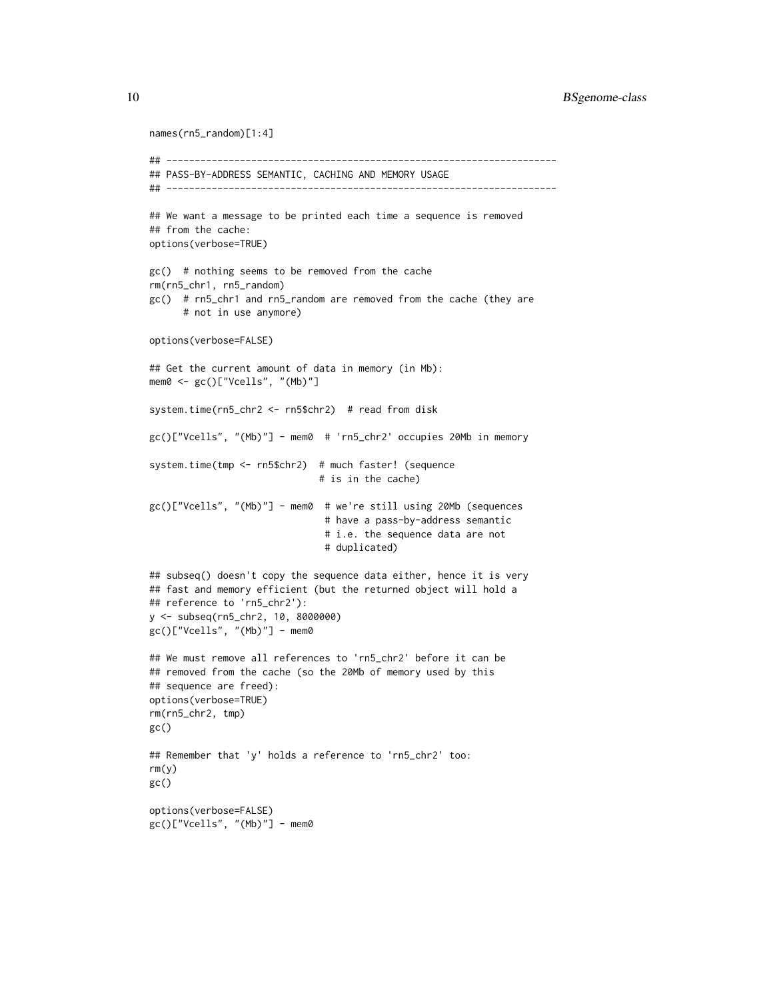10 BSgenome-class

```
names(rn5_random)[1:4]
## ---------------------------------------------------------------------
## PASS-BY-ADDRESS SEMANTIC, CACHING AND MEMORY USAGE
## ---------------------------------------------------------------------
## We want a message to be printed each time a sequence is removed
## from the cache:
options(verbose=TRUE)
gc() # nothing seems to be removed from the cache
rm(rn5_chr1, rn5_random)
gc() # rn5_chr1 and rn5_random are removed from the cache (they are
      # not in use anymore)
options(verbose=FALSE)
## Get the current amount of data in memory (in Mb):
mem0 <- gc()["Vcells", "(Mb)"]
system.time(rn5_chr2 <- rn5$chr2) # read from disk
gc()["Vcells", "(Mb)"] - mem0 # 'rn5_chr2' occupies 20Mb in memory
system.time(tmp <- rn5$chr2) # much faster! (sequence
                              # is in the cache)
gc()["Vcells", "(Mb)"] - mem0 # we're still using 20Mb (sequences
                               # have a pass-by-address semantic
                               # i.e. the sequence data are not
                               # duplicated)
## subseq() doesn't copy the sequence data either, hence it is very
## fast and memory efficient (but the returned object will hold a
## reference to 'rn5_chr2'):
y <- subseq(rn5_chr2, 10, 8000000)
gc()["Vcells", "(Mb)"] - mem0
## We must remove all references to 'rn5_chr2' before it can be
## removed from the cache (so the 20Mb of memory used by this
## sequence are freed):
options(verbose=TRUE)
rm(rn5_chr2, tmp)
gc()
## Remember that 'y' holds a reference to 'rn5_chr2' too:
rm(y)
gc()
options(verbose=FALSE)
gc()["Vcells", "(Mb)"] - mem0
```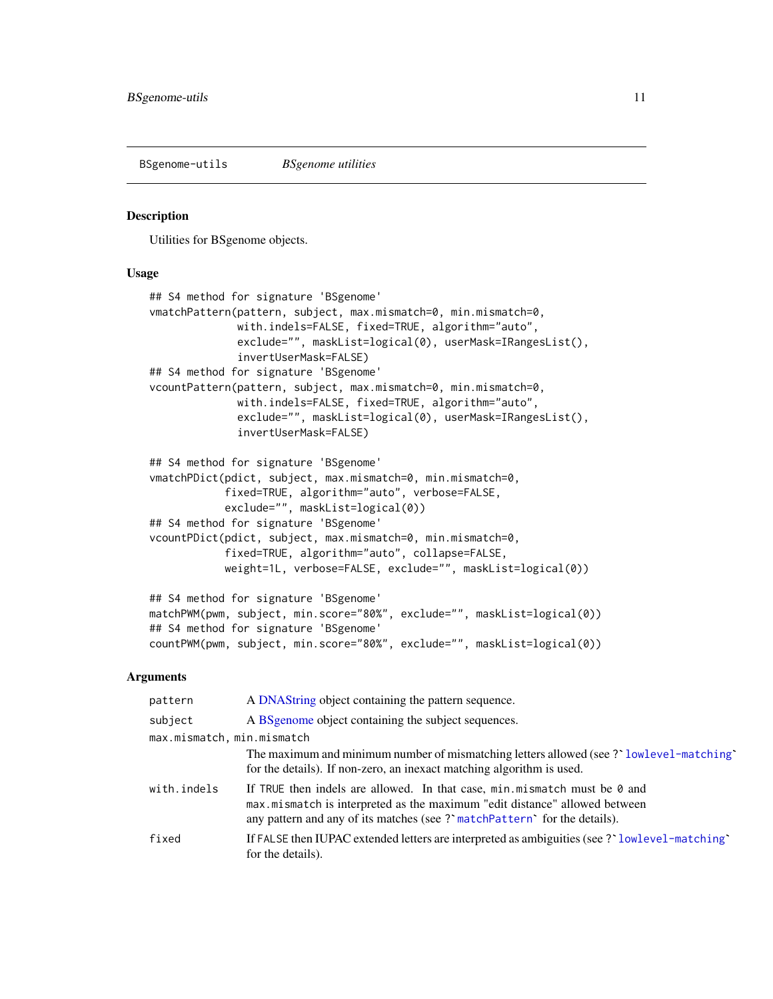<span id="page-10-1"></span><span id="page-10-0"></span>BSgenome-utils *BSgenome utilities*

## **Description**

Utilities for BSgenome objects.

### Usage

```
## S4 method for signature 'BSgenome'
vmatchPattern(pattern, subject, max.mismatch=0, min.mismatch=0,
              with.indels=FALSE, fixed=TRUE, algorithm="auto",
              exclude="", maskList=logical(0), userMask=IRangesList(),
              invertUserMask=FALSE)
## S4 method for signature 'BSgenome'
vcountPattern(pattern, subject, max.mismatch=0, min.mismatch=0,
              with.indels=FALSE, fixed=TRUE, algorithm="auto",
              exclude="", maskList=logical(0), userMask=IRangesList(),
              invertUserMask=FALSE)
## S4 method for signature 'BSgenome'
vmatchPDict(pdict, subject, max.mismatch=0, min.mismatch=0,
            fixed=TRUE, algorithm="auto", verbose=FALSE,
```

```
exclude="", maskList=logical(0))
## S4 method for signature 'BSgenome'
vcountPDict(pdict, subject, max.mismatch=0, min.mismatch=0,
           fixed=TRUE, algorithm="auto", collapse=FALSE,
           weight=1L, verbose=FALSE, exclude="", maskList=logical(0))
```

```
## S4 method for signature 'BSgenome'
matchPWM(pwm, subject, min.score="80%", exclude="", maskList=logical(0))
## S4 method for signature 'BSgenome'
countPWM(pwm, subject, min.score="80%", exclude="", maskList=logical(0))
```
## Arguments

| pattern                    | A DNAString object containing the pattern sequence.                                                                                                                                                                                    |  |
|----------------------------|----------------------------------------------------------------------------------------------------------------------------------------------------------------------------------------------------------------------------------------|--|
| subject                    | A BS genome object containing the subject sequences.                                                                                                                                                                                   |  |
| max.mismatch, min.mismatch |                                                                                                                                                                                                                                        |  |
|                            | The maximum and minimum number of mismatching letters allowed (see ? lowlevel-matching)<br>for the details). If non-zero, an inexact matching algorithm is used.                                                                       |  |
| with.indels                | If TRUE then indels are allowed. In that case, $min.mistmatch$ must be $0$ and<br>max.mismatch is interpreted as the maximum "edit distance" allowed between<br>any pattern and any of its matches (see? matchPattern of the details). |  |
| fixed                      | If FALSE then IUPAC extended letters are interpreted as ambiguities (see ? lowlevel-matching<br>for the details).                                                                                                                      |  |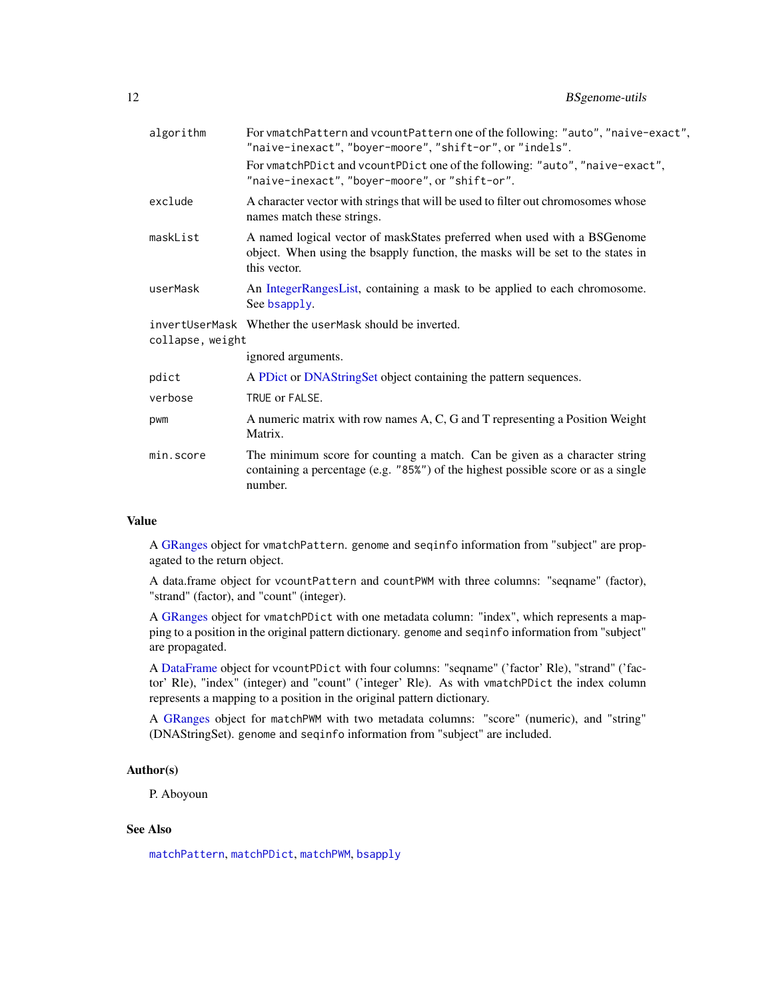<span id="page-11-0"></span>

| algorithm        | For vmatchPattern and vcountPattern one of the following: "auto", "naive-exact",<br>"naive-inexact", "boyer-moore", "shift-or", or "indels".                                |
|------------------|-----------------------------------------------------------------------------------------------------------------------------------------------------------------------------|
|                  | For vmatchPDict and vcountPDict one of the following: "auto", "naive-exact",<br>"naive-inexact", "boyer-moore", or "shift-or".                                              |
| exclude          | A character vector with strings that will be used to filter out chromosomes whose<br>names match these strings.                                                             |
| maskList         | A named logical vector of maskStates preferred when used with a BSGenome<br>object. When using the bsapply function, the masks will be set to the states in<br>this vector. |
| userMask         | An IntegerRangesList, containing a mask to be applied to each chromosome.<br>See bsapply.                                                                                   |
| collapse, weight | invertUserMask Whether the userMask should be inverted.                                                                                                                     |
|                  | ignored arguments.                                                                                                                                                          |
| pdict            | A PDict or DNAStringSet object containing the pattern sequences.                                                                                                            |
| verbose          | TRUE or FALSE.                                                                                                                                                              |
| pwm              | A numeric matrix with row names A, C, G and T representing a Position Weight<br>Matrix.                                                                                     |
| min.score        | The minimum score for counting a match. Can be given as a character string<br>containing a percentage (e.g. "85%") of the highest possible score or as a single<br>number.  |
|                  |                                                                                                                                                                             |

## Value

A [GRanges](#page-0-0) object for vmatchPattern. genome and seqinfo information from "subject" are propagated to the return object.

A data.frame object for vcountPattern and countPWM with three columns: "seqname" (factor), "strand" (factor), and "count" (integer).

A [GRanges](#page-0-0) object for vmatchPDict with one metadata column: "index", which represents a mapping to a position in the original pattern dictionary. genome and seqinfo information from "subject" are propagated.

A [DataFrame](#page-0-0) object for vcountPDict with four columns: "seqname" ('factor' Rle), "strand" ('factor' Rle), "index" (integer) and "count" ('integer' Rle). As with vmatchPDict the index column represents a mapping to a position in the original pattern dictionary.

A [GRanges](#page-0-0) object for matchPWM with two metadata columns: "score" (numeric), and "string" (DNAStringSet). genome and seqinfo information from "subject" are included.

## Author(s)

P. Aboyoun

## See Also

[matchPattern](#page-0-0), [matchPDict](#page-0-0), [matchPWM](#page-0-0), [bsapply](#page-4-1)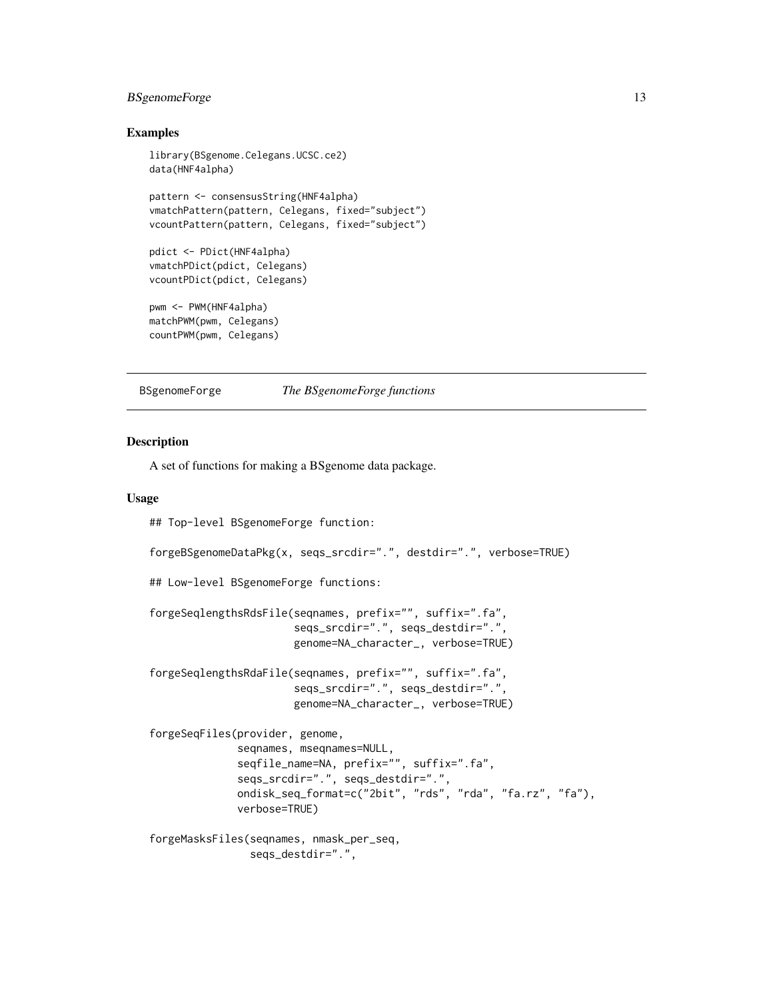## <span id="page-12-0"></span>BSgenomeForge 13

## Examples

```
library(BSgenome.Celegans.UCSC.ce2)
data(HNF4alpha)
pattern <- consensusString(HNF4alpha)
vmatchPattern(pattern, Celegans, fixed="subject")
vcountPattern(pattern, Celegans, fixed="subject")
pdict <- PDict(HNF4alpha)
vmatchPDict(pdict, Celegans)
vcountPDict(pdict, Celegans)
pwm <- PWM(HNF4alpha)
matchPWM(pwm, Celegans)
countPWM(pwm, Celegans)
```
BSgenomeForge *The BSgenomeForge functions*

## Description

A set of functions for making a BSgenome data package.

### Usage

```
## Top-level BSgenomeForge function:
```

```
forgeBSgenomeDataPkg(x, seqs_srcdir=".", destdir=".", verbose=TRUE)
```
## Low-level BSgenomeForge functions:

```
forgeSeqlengthsRdsFile(seqnames, prefix="", suffix=".fa",
                       seqs_srcdir=".", seqs_destdir=".",
                       genome=NA_character_, verbose=TRUE)
```
forgeSeqlengthsRdaFile(seqnames, prefix="", suffix=".fa", seqs\_srcdir=".", seqs\_destdir=".", genome=NA\_character\_, verbose=TRUE)

```
forgeSeqFiles(provider, genome,
              seqnames, mseqnames=NULL,
              seqfile_name=NA, prefix="", suffix=".fa",
              seqs_srcdir=".", seqs_destdir=".",
              ondisk_seq_format=c("2bit", "rds", "rda", "fa.rz", "fa"),
              verbose=TRUE)
```

```
forgeMasksFiles(seqnames, nmask_per_seq,
               seqs_destdir=".",
```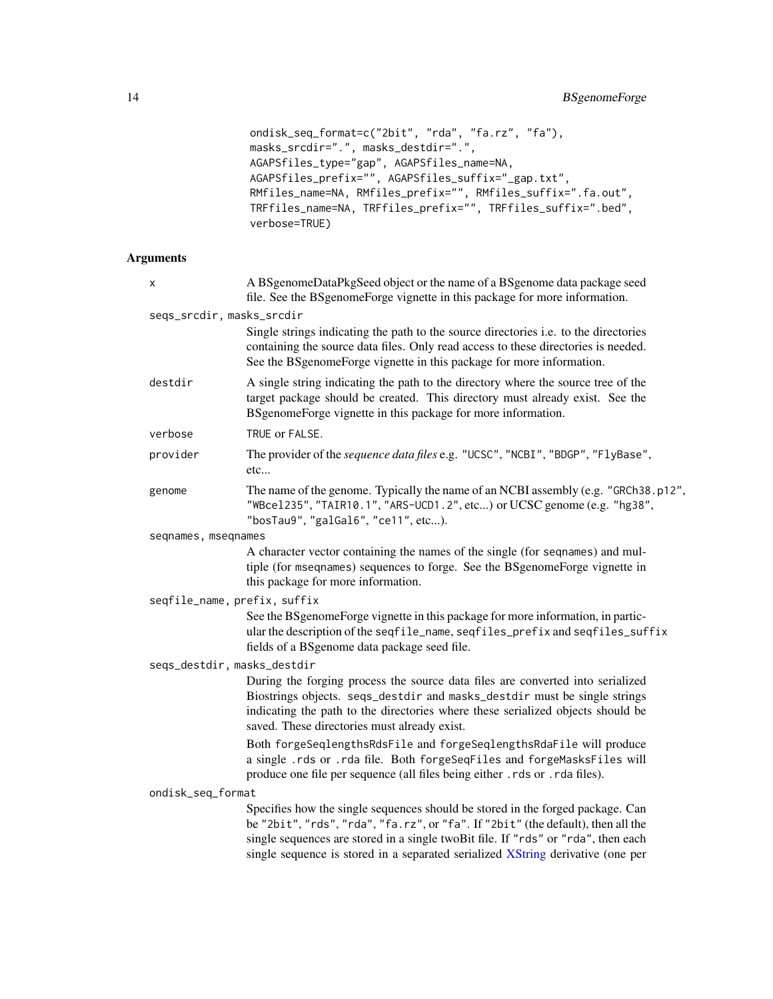```
ondisk_seq_format=c("2bit", "rda", "fa.rz", "fa"),
masks_srcdir=".", masks_destdir=".",
AGAPSfiles_type="gap", AGAPSfiles_name=NA,
AGAPSfiles_prefix="", AGAPSfiles_suffix="_gap.txt",
RMfiles_name=NA, RMfiles_prefix="", RMfiles_suffix=".fa.out",
TRFfiles_name=NA, TRFfiles_prefix="", TRFfiles_suffix=".bed",
verbose=TRUE)
```
## Arguments

| х                            | A BSgenomeDataPkgSeed object or the name of a BSgenome data package seed<br>file. See the BSgenomeForge vignette in this package for more information.                                                                                                                                                                                     |
|------------------------------|--------------------------------------------------------------------------------------------------------------------------------------------------------------------------------------------------------------------------------------------------------------------------------------------------------------------------------------------|
| seqs_srcdir, masks_srcdir    |                                                                                                                                                                                                                                                                                                                                            |
|                              | Single strings indicating the path to the source directories i.e. to the directories<br>containing the source data files. Only read access to these directories is needed.<br>See the BSgenomeForge vignette in this package for more information.                                                                                         |
| destdir                      | A single string indicating the path to the directory where the source tree of the<br>target package should be created. This directory must already exist. See the<br>BSgenomeForge vignette in this package for more information.                                                                                                          |
| verbose                      | TRUE or FALSE.                                                                                                                                                                                                                                                                                                                             |
| provider                     | The provider of the sequence data files e.g. "UCSC", "NCBI", "BDGP", "FlyBase",<br>etc                                                                                                                                                                                                                                                     |
| genome                       | The name of the genome. Typically the name of an NCBI assembly (e.g. "GRCh38.p12",<br>"WBce1235", "TAIR10.1", "ARS-UCD1.2", etc) or UCSC genome (e.g. "hg38",<br>"bosTau9", "galGal6", "ce11", etc).                                                                                                                                       |
| seqnames, mseqnames          |                                                                                                                                                                                                                                                                                                                                            |
|                              | A character vector containing the names of the single (for seqnames) and mul-<br>tiple (for mseqnames) sequences to forge. See the BSgenomeForge vignette in<br>this package for more information.                                                                                                                                         |
| seqfile_name, prefix, suffix |                                                                                                                                                                                                                                                                                                                                            |
|                              | See the BSgenomeForge vignette in this package for more information, in partic-<br>ular the description of the seqfile_name, seqfiles_prefix and seqfiles_suffix<br>fields of a BSgenome data package seed file.                                                                                                                           |
| seqs_destdir, masks_destdir  |                                                                                                                                                                                                                                                                                                                                            |
|                              | During the forging process the source data files are converted into serialized<br>Biostrings objects. seqs_destdir and masks_destdir must be single strings<br>indicating the path to the directories where these serialized objects should be<br>saved. These directories must already exist.                                             |
|                              | Both forgeSeqlengthsRdsFile and forgeSeqlengthsRdaFile will produce<br>a single .rds or .rda file. Both forgeSeqFiles and forgeMasksFiles will<br>produce one file per sequence (all files being either . rds or . rda files).                                                                                                             |
| ondisk_seq_format            |                                                                                                                                                                                                                                                                                                                                            |
|                              | Specifies how the single sequences should be stored in the forged package. Can<br>be "2bit", "rds", "rda", "fa.rz", or "fa". If "2bit" (the default), then all the<br>single sequences are stored in a single twoBit file. If "rds" or "rda", then each<br>single sequence is stored in a separated serialized XString derivative (one per |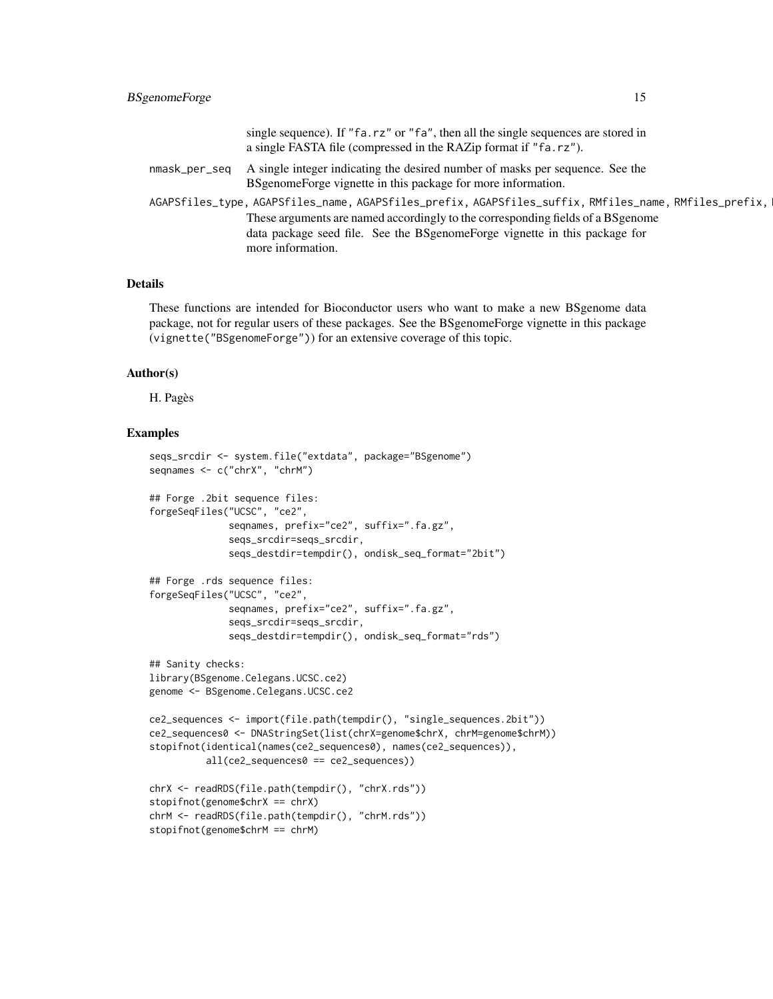|                                                                                                       | single sequence). If "fa.rz" or "fa", then all the single sequences are stored in |  |
|-------------------------------------------------------------------------------------------------------|-----------------------------------------------------------------------------------|--|
|                                                                                                       | a single FASTA file (compressed in the RAZip format if "fa.rz").                  |  |
| nmask_per_seq                                                                                         | A single integer indicating the desired number of masks per sequence. See the     |  |
|                                                                                                       | BSgenomeForge vignette in this package for more information.                      |  |
| AGAPSfiles_type, AGAPSfiles_name, AGAPSfiles_prefix, AGAPSfiles_suffix, RMfiles_name, RMfiles_prefix, |                                                                                   |  |
|                                                                                                       | These arguments are named accordingly to the corresponding fields of a BS genome  |  |
|                                                                                                       | data package seed file. See the BSgenomeForge vignette in this package for        |  |
|                                                                                                       | more information.                                                                 |  |

## Details

These functions are intended for Bioconductor users who want to make a new BSgenome data package, not for regular users of these packages. See the BSgenomeForge vignette in this package (vignette("BSgenomeForge")) for an extensive coverage of this topic.

## Author(s)

H. Pagès

#### Examples

```
seqs_srcdir <- system.file("extdata", package="BSgenome")
seqnames <- c("chrX", "chrM")
## Forge .2bit sequence files:
forgeSeqFiles("UCSC", "ce2",
              seqnames, prefix="ce2", suffix=".fa.gz",
              seqs_srcdir=seqs_srcdir,
              seqs_destdir=tempdir(), ondisk_seq_format="2bit")
## Forge .rds sequence files:
forgeSeqFiles("UCSC", "ce2",
             seqnames, prefix="ce2", suffix=".fa.gz",
              seqs_srcdir=seqs_srcdir,
              seqs_destdir=tempdir(), ondisk_seq_format="rds")
## Sanity checks:
library(BSgenome.Celegans.UCSC.ce2)
genome <- BSgenome.Celegans.UCSC.ce2
ce2_sequences <- import(file.path(tempdir(), "single_sequences.2bit"))
ce2_sequences0 <- DNAStringSet(list(chrX=genome$chrX, chrM=genome$chrM))
stopifnot(identical(names(ce2_sequences0), names(ce2_sequences)),
          all(ce2_sequences0 == ce2_sequences))
chrX <- readRDS(file.path(tempdir(), "chrX.rds"))
stopifnot(genome$chrX == chrX)
chrM <- readRDS(file.path(tempdir(), "chrM.rds"))
stopifnot(genome$chrM == chrM)
```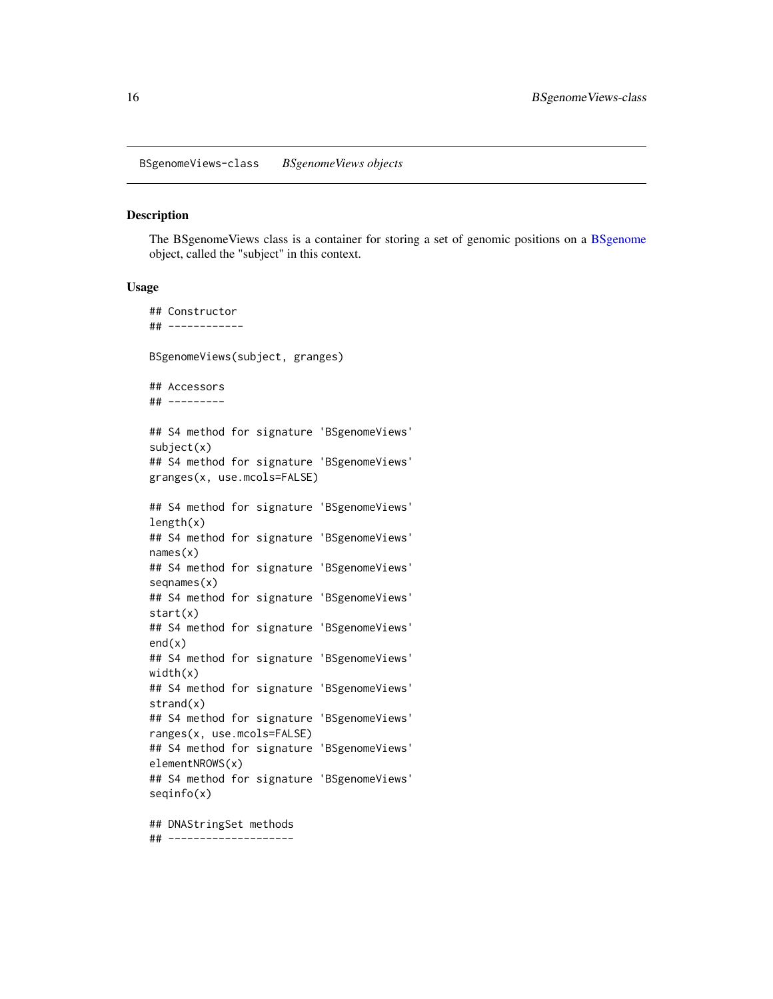#### <span id="page-15-0"></span>Description

The [BSgenome](#page-6-1)Views class is a container for storing a set of genomic positions on a BSgenome object, called the "subject" in this context.

#### Usage

## Constructor ## ------------ BSgenomeViews(subject, granges) ## Accessors ## --------- ## S4 method for signature 'BSgenomeViews' subject(x) ## S4 method for signature 'BSgenomeViews' granges(x, use.mcols=FALSE) ## S4 method for signature 'BSgenomeViews'  $length(x)$ ## S4 method for signature 'BSgenomeViews' names(x) ## S4 method for signature 'BSgenomeViews' seqnames(x) ## S4 method for signature 'BSgenomeViews' start(x) ## S4 method for signature 'BSgenomeViews' end(x) ## S4 method for signature 'BSgenomeViews' width(x) ## S4 method for signature 'BSgenomeViews' strand(x) ## S4 method for signature 'BSgenomeViews' ranges(x, use.mcols=FALSE) ## S4 method for signature 'BSgenomeViews' elementNROWS(x) ## S4 method for signature 'BSgenomeViews' seqinfo(x) ## DNAStringSet methods

## --------------------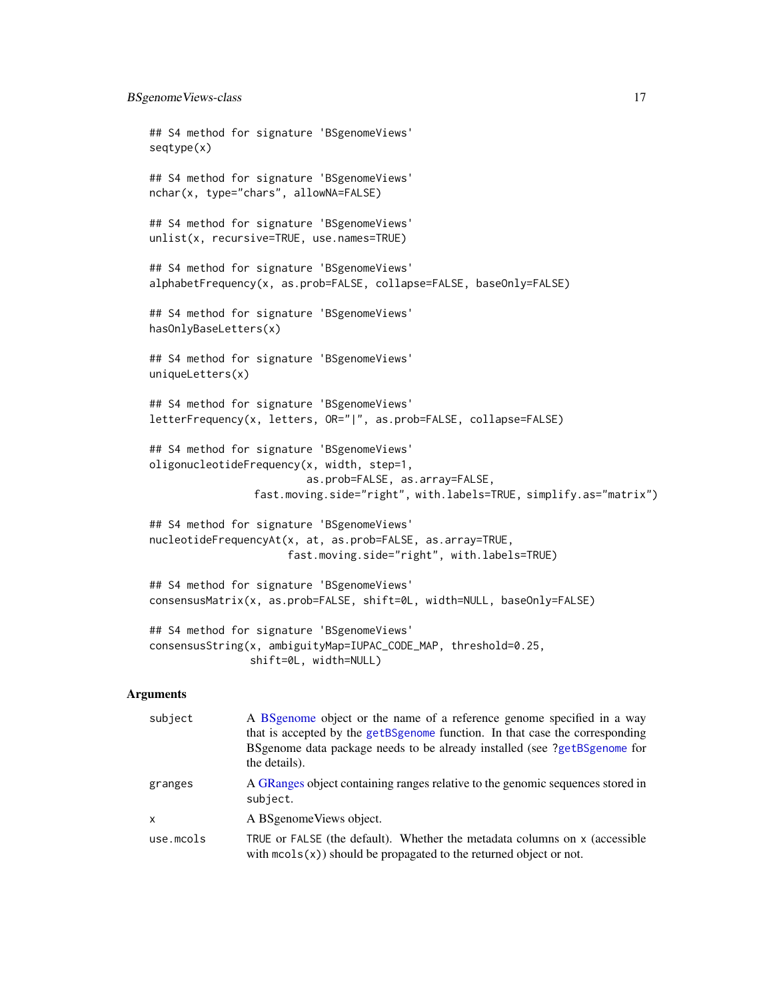```
## S4 method for signature 'BSgenomeViews'
seqtype(x)
## S4 method for signature 'BSgenomeViews'
nchar(x, type="chars", allowNA=FALSE)
## S4 method for signature 'BSgenomeViews'
unlist(x, recursive=TRUE, use.names=TRUE)
## S4 method for signature 'BSgenomeViews'
alphabetFrequency(x, as.prob=FALSE, collapse=FALSE, baseOnly=FALSE)
## S4 method for signature 'BSgenomeViews'
hasOnlyBaseLetters(x)
## S4 method for signature 'BSgenomeViews'
uniqueLetters(x)
## S4 method for signature 'BSgenomeViews'
letterFrequency(x, letters, OR="|", as.prob=FALSE, collapse=FALSE)
## S4 method for signature 'BSgenomeViews'
oligonucleotideFrequency(x, width, step=1,
                         as.prob=FALSE, as.array=FALSE,
                fast.moving.side="right", with.labels=TRUE, simplify.as="matrix")
## S4 method for signature 'BSgenomeViews'
nucleotideFrequencyAt(x, at, as.prob=FALSE, as.array=TRUE,
                      fast.moving.side="right", with.labels=TRUE)
## S4 method for signature 'BSgenomeViews'
consensusMatrix(x, as.prob=FALSE, shift=0L, width=NULL, baseOnly=FALSE)
## S4 method for signature 'BSgenomeViews'
consensusString(x, ambiguityMap=IUPAC_CODE_MAP, threshold=0.25,
                shift=0L, width=NULL)
```
## Arguments

| subject                   | A BSgenome object or the name of a reference genome specified in a way<br>that is accepted by the getBSgenome function. In that case the corresponding<br>BSgenome data package needs to be already installed (see ?getBSgenome for<br>the details). |
|---------------------------|------------------------------------------------------------------------------------------------------------------------------------------------------------------------------------------------------------------------------------------------------|
| granges                   | A GRanges object containing ranges relative to the genomic sequences stored in<br>subject.                                                                                                                                                           |
| $\boldsymbol{\mathsf{x}}$ | A BSgenome Views object.                                                                                                                                                                                                                             |
| use.mcols                 | TRUE or FALSE (the default). Whether the metadata columns on x (accessible<br>with $\text{mcols}(x)$ should be propagated to the returned object or not.                                                                                             |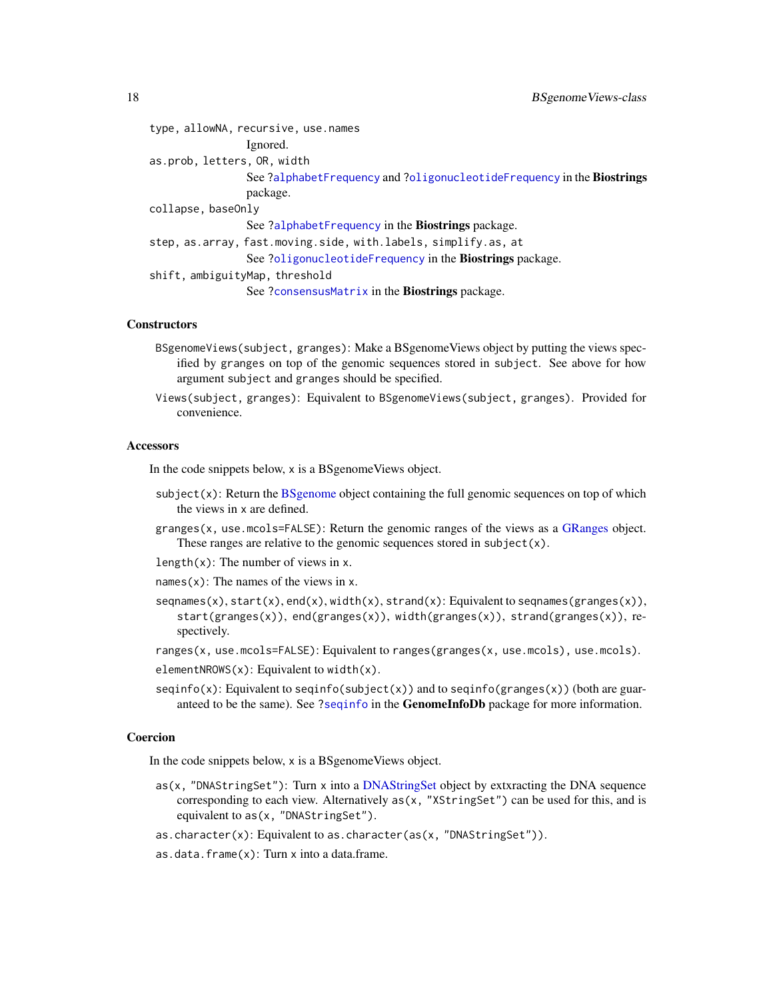<span id="page-17-0"></span>

| type, allowNA, recursive, use.names                                    |
|------------------------------------------------------------------------|
| Ignored.                                                               |
| as.prob, letters, OR, width                                            |
| See ?alphabetFrequency and ?oligonucleotideFrequency in the Biostrings |
| package.                                                               |
|                                                                        |
| See ?alphabetFrequency in the Biostrings package.                      |
| step, as.array, fast.moving.side, with.labels, simplify.as, at         |
| See ?oligonucleotideFrequency in the Biostrings package.               |
| shift, ambiguityMap, threshold                                         |
| See ?consensusMatrix in the <b>Biostrings</b> package.                 |
|                                                                        |

#### **Constructors**

- BSgenomeViews(subject, granges): Make a BSgenomeViews object by putting the views specified by granges on top of the genomic sequences stored in subject. See above for how argument subject and granges should be specified.
- Views(subject, granges): Equivalent to BSgenomeViews(subject, granges). Provided for convenience.

#### **Accessors**

In the code snippets below, x is a BSgenomeViews object.

- $subject(x)$ : Return the [BSgenome](#page-6-1) object containing the full genomic sequences on top of which the views in x are defined.
- granges(x, use.mcols=FALSE): Return the genomic ranges of the views as a [GRanges](#page-0-0) object. These ranges are relative to the genomic sequences stored in subject(x).
- length $(x)$ : The number of views in x.
- names $(x)$ : The names of the views in x.
- seqnames(x), start(x), end(x), width(x), strand(x): Equivalent to seqnames(granges(x)), start(granges(x)), end(granges(x)), width(granges(x)), strand(granges(x)), respectively.
- ranges(x, use.mcols=FALSE): Equivalent to ranges(granges(x, use.mcols), use.mcols).
- elementNROWS $(x)$ : Equivalent to width $(x)$ .
- $seqinfo(x)$ : Equivalent to  $seqinfo(subject(x))$  and to  $seqinfo(granges(x))$  (both are guaranteed to be the same). See [?seqinfo](#page-0-0) in the GenomeInfoDb package for more information.

#### Coercion

In the code snippets below, x is a BSgenomeViews object.

- $as(x, 'DNAStringSet'')$  $as(x, 'DNAStringSet'')$  $as(x, 'DNAStringSet'')$ : Turn x into a DNAStringSet object by extxracting the DNA sequence corresponding to each view. Alternatively  $as(x, "XStringSet")$  can be used for this, and is equivalent to as(x, "DNAStringSet").
- as.character(x): Equivalent to as.character(as(x, "DNAStringSet")).
- as.data.frame(x): Turn x into a data.frame.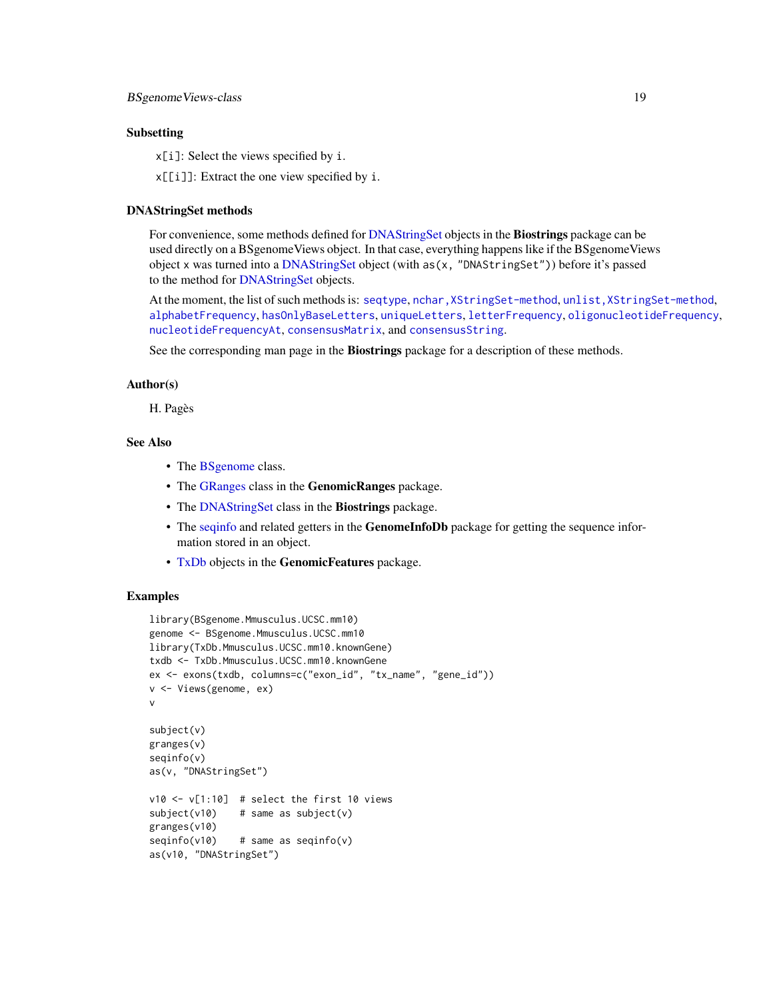## <span id="page-18-0"></span>Subsetting

x[i]: Select the views specified by i.

x[[i]]: Extract the one view specified by i.

## DNAStringSet methods

For convenience, some methods defined for [DNAStringSet](#page-0-0) objects in the **Biostrings** package can be used directly on a BSgenomeViews object. In that case, everything happens like if the BSgenomeViews object x was turned into a [DNAStringSet](#page-0-0) object (with as(x, "DNAStringSet")) before it's passed to the method for [DNAStringSet](#page-0-0) objects.

At the moment, the list of such methods is: [seqtype](#page-0-0), [nchar,XStringSet-method](#page-0-0), [unlist,XStringSet-method](#page-0-0), [alphabetFrequency](#page-0-0), [hasOnlyBaseLetters](#page-0-0), [uniqueLetters](#page-0-0), [letterFrequency](#page-0-0), [oligonucleotideFrequency](#page-0-0), [nucleotideFrequencyAt](#page-0-0), [consensusMatrix](#page-0-0), and [consensusString](#page-0-0).

See the corresponding man page in the **Biostrings** package for a description of these methods.

## Author(s)

H. Pagès

## See Also

- The [BSgenome](#page-6-1) class.
- The [GRanges](#page-0-0) class in the GenomicRanges package.
- The [DNAStringSet](#page-0-0) class in the Biostrings package.
- The sequinfo and related getters in the **GenomeInfoDb** package for getting the sequence information stored in an object.
- [TxDb](#page-0-0) objects in the GenomicFeatures package.

## **Examples**

```
library(BSgenome.Mmusculus.UCSC.mm10)
genome <- BSgenome.Mmusculus.UCSC.mm10
library(TxDb.Mmusculus.UCSC.mm10.knownGene)
txdb <- TxDb.Mmusculus.UCSC.mm10.knownGene
ex <- exons(txdb, columns=c("exon_id", "tx_name", "gene_id"))
v <- Views(genome, ex)
v
subject(v)
granges(v)
seqinfo(v)
as(v, "DNAStringSet")
v10 \leftarrow v[1:10] # select the first 10 views
subject(v10) # same as subject(v)
granges(v10)
seqinfo(v10) # same as seqinfo(v)as(v10, "DNAStringSet")
```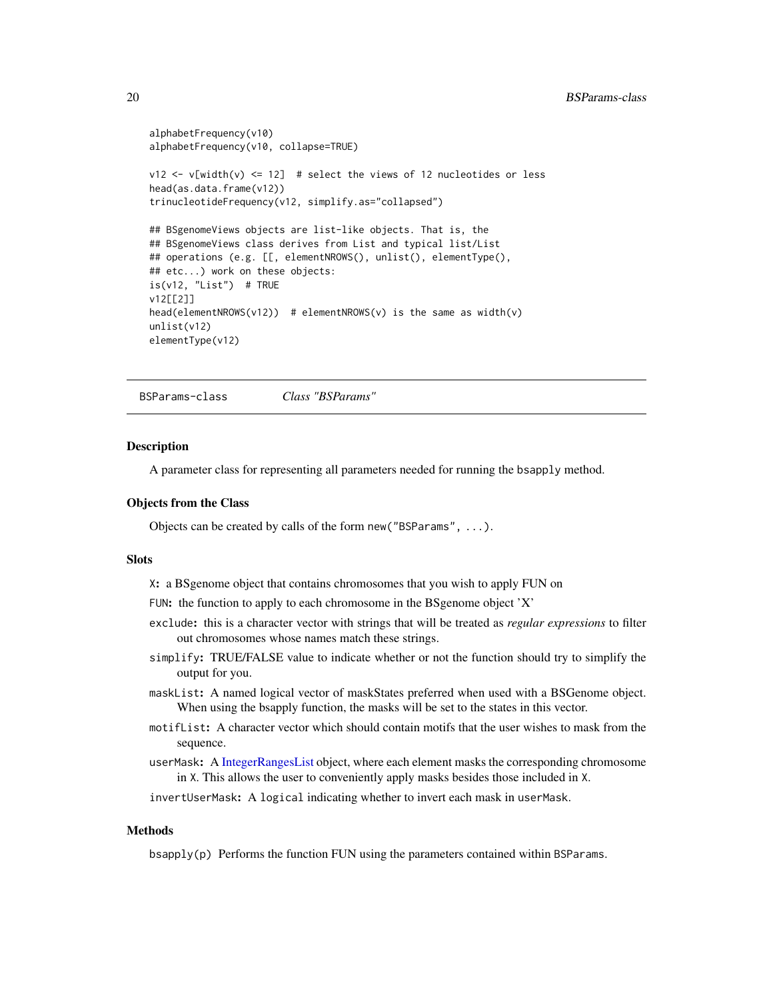```
alphabetFrequency(v10)
alphabetFrequency(v10, collapse=TRUE)
v12 \le v[width(v) \le 12] # select the views of 12 nucleotides or less
head(as.data.frame(v12))
trinucleotideFrequency(v12, simplify.as="collapsed")
## BSgenomeViews objects are list-like objects. That is, the
## BSgenomeViews class derives from List and typical list/List
## operations (e.g. [[, elementNROWS(), unlist(), elementType(),
## etc...) work on these objects:
is(v12, "List") # TRUE
v12[[2]]
head(elementNROWS(v12)) # elementNROWS(v) is the same as width(v)
unlist(v12)
elementType(v12)
```
<span id="page-19-1"></span>BSParams-class *Class "BSParams"*

#### **Description**

A parameter class for representing all parameters needed for running the bsapply method.

#### Objects from the Class

Objects can be created by calls of the form new("BSParams", ...).

#### **Slots**

X: a BSgenome object that contains chromosomes that you wish to apply FUN on

FUN: the function to apply to each chromosome in the BSgenome object 'X'

- exclude: this is a character vector with strings that will be treated as *regular expressions* to filter out chromosomes whose names match these strings.
- simplify: TRUE/FALSE value to indicate whether or not the function should try to simplify the output for you.
- maskList: A named logical vector of maskStates preferred when used with a BSGenome object. When using the bsapply function, the masks will be set to the states in this vector.
- motifList: A character vector which should contain motifs that the user wishes to mask from the sequence.
- userMask: A [IntegerRangesList](#page-0-0) object, where each element masks the corresponding chromosome in X. This allows the user to conveniently apply masks besides those included in X.

invertUserMask: A logical indicating whether to invert each mask in userMask.

## **Methods**

bsapply(p) Performs the function FUN using the parameters contained within BSParams.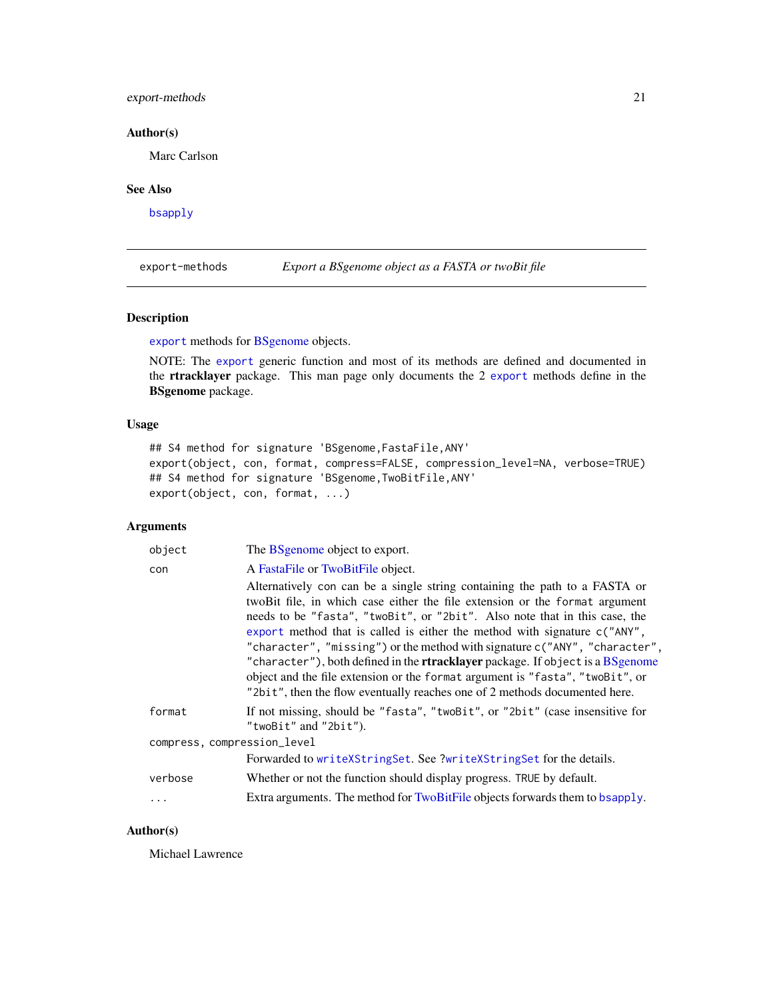## <span id="page-20-0"></span>export-methods 21

## Author(s)

Marc Carlson

## See Also

[bsapply](#page-4-1)

export-methods *Export a BSgenome object as a FASTA or twoBit file*

## Description

[export](#page-0-0) methods for [BSgenome](#page-6-1) objects.

NOTE: The [export](#page-0-0) generic function and most of its methods are defined and documented in the rtracklayer package. This man page only documents the 2 [export](#page-0-0) methods define in the BSgenome package.

## Usage

```
## S4 method for signature 'BSgenome,FastaFile,ANY'
export(object, con, format, compress=FALSE, compression_level=NA, verbose=TRUE)
## S4 method for signature 'BSgenome,TwoBitFile,ANY'
export(object, con, format, ...)
```
## Arguments

| object                      | The BS genome object to export.                                                                                                                                                                                                                                                                                                                                                                                                                                                                                                                                                                                                                               |  |
|-----------------------------|---------------------------------------------------------------------------------------------------------------------------------------------------------------------------------------------------------------------------------------------------------------------------------------------------------------------------------------------------------------------------------------------------------------------------------------------------------------------------------------------------------------------------------------------------------------------------------------------------------------------------------------------------------------|--|
| con                         | A FastaFile or TwoBitFile object.                                                                                                                                                                                                                                                                                                                                                                                                                                                                                                                                                                                                                             |  |
|                             | Alternatively con can be a single string containing the path to a FASTA or<br>twoBit file, in which case either the file extension or the format argument<br>needs to be "fasta", "two Bit", or "2bit". Also note that in this case, the<br>export method that is called is either the method with signature $c("ANY",$<br>"character", "missing") or the method with signature c("ANY", "character",<br>"character"), both defined in the <b>rtracklayer</b> package. If object is a BSgenome<br>object and the file extension or the format argument is "fasta", "twoBit", or<br>"2bit", then the flow eventually reaches one of 2 methods documented here. |  |
| format                      | If not missing, should be "fasta", "twoBit", or "2bit" (case insensitive for<br>"twoBit" and "2bit").                                                                                                                                                                                                                                                                                                                                                                                                                                                                                                                                                         |  |
| compress, compression_level |                                                                                                                                                                                                                                                                                                                                                                                                                                                                                                                                                                                                                                                               |  |
|                             | Forwarded to writeXStringSet. See ?writeXStringSet for the details.                                                                                                                                                                                                                                                                                                                                                                                                                                                                                                                                                                                           |  |
| verbose                     | Whether or not the function should display progress. TRUE by default.                                                                                                                                                                                                                                                                                                                                                                                                                                                                                                                                                                                         |  |
| $\ddots$ .                  | Extra arguments. The method for TwoBitFile objects forwards them to bsapply.                                                                                                                                                                                                                                                                                                                                                                                                                                                                                                                                                                                  |  |

## Author(s)

Michael Lawrence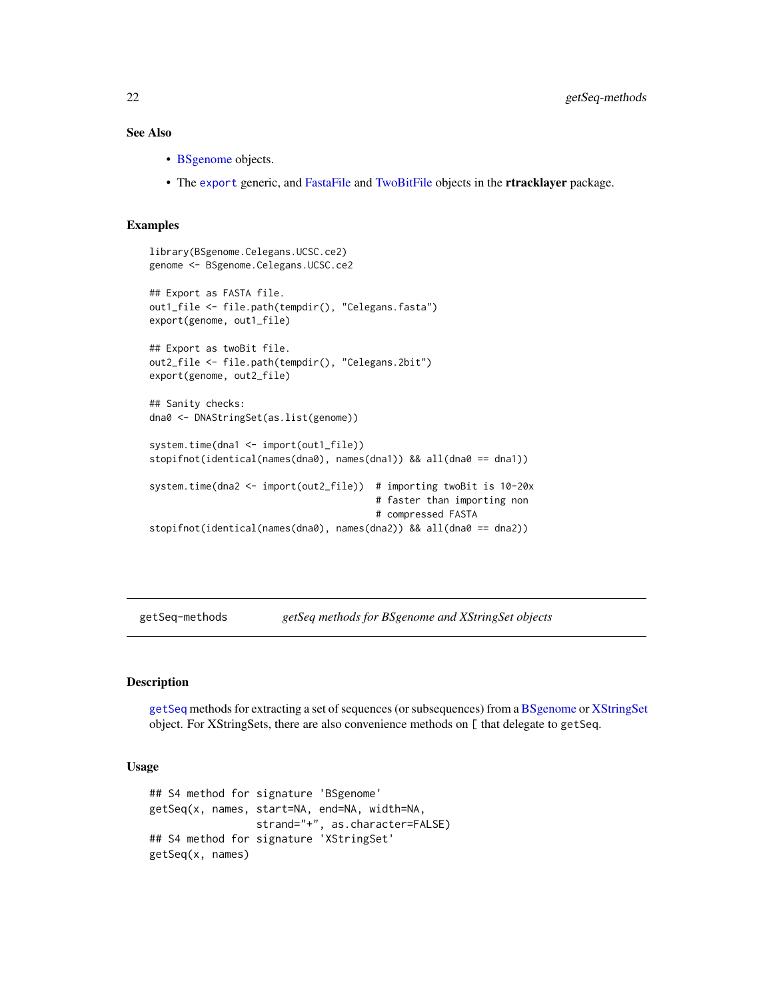## <span id="page-21-0"></span>See Also

- [BSgenome](#page-6-1) objects.
- The [export](#page-0-0) generic, and [FastaFile](#page-0-0) and [TwoBitFile](#page-0-0) objects in the rtracklayer package.

#### Examples

```
library(BSgenome.Celegans.UCSC.ce2)
genome <- BSgenome.Celegans.UCSC.ce2
## Export as FASTA file.
out1_file <- file.path(tempdir(), "Celegans.fasta")
export(genome, out1_file)
## Export as twoBit file.
out2_file <- file.path(tempdir(), "Celegans.2bit")
export(genome, out2_file)
## Sanity checks:
dna0 <- DNAStringSet(as.list(genome))
system.time(dna1 <- import(out1_file))
stopifnot(identical(names(dna0), names(dna1)) && all(dna0 == dna1))
system.time(dna2 <- import(out2_file)) # importing twoBit is 10-20x
                                        # faster than importing non
                                        # compressed FASTA
stopifnot(identical(names(dna0), names(dna2)) && all(dna0 == dna2))
```
getSeq-methods *getSeq methods for BSgenome and XStringSet objects*

#### <span id="page-21-1"></span>Description

[getSeq](#page-21-1) methods for extracting a set of sequences (or subsequences) from a [BSgenome](#page-6-1) or [XStringSet](#page-0-0) object. For XStringSets, there are also convenience methods on [ that delegate to getSeq.

## Usage

```
## S4 method for signature 'BSgenome'
getSeq(x, names, start=NA, end=NA, width=NA,
                 strand="+", as.character=FALSE)
## S4 method for signature 'XStringSet'
getSeq(x, names)
```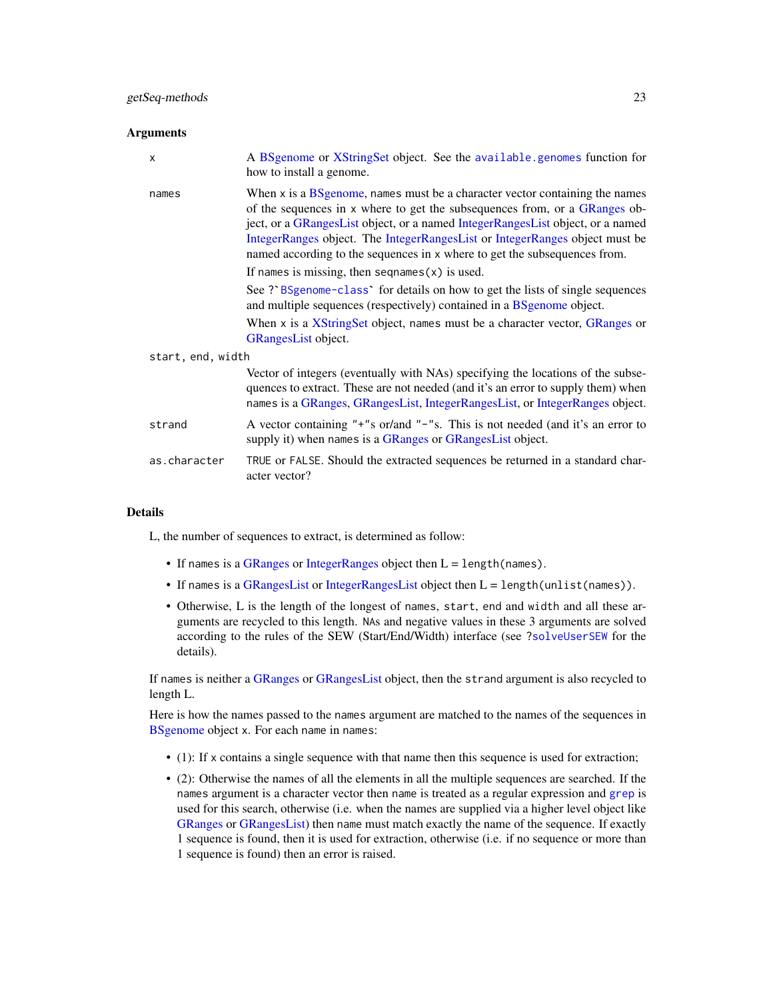#### <span id="page-22-0"></span>Arguments

| X                 | A BSgenome or XStringSet object. See the available.genomes function for<br>how to install a genome.                                                                                                                                                                                                                                                                                                      |  |
|-------------------|----------------------------------------------------------------------------------------------------------------------------------------------------------------------------------------------------------------------------------------------------------------------------------------------------------------------------------------------------------------------------------------------------------|--|
| names             | When x is a BS genome, names must be a character vector containing the names<br>of the sequences in x where to get the subsequences from, or a GRanges ob-<br>ject, or a GRangesList object, or a named IntegerRangesList object, or a named<br>IntegerRanges object. The IntegerRangesList or IntegerRanges object must be<br>named according to the sequences in x where to get the subsequences from. |  |
|                   | If names is missing, then sequames $(x)$ is used.                                                                                                                                                                                                                                                                                                                                                        |  |
|                   | See ? BSgenome-class for details on how to get the lists of single sequences<br>and multiple sequences (respectively) contained in a BSgenome object.                                                                                                                                                                                                                                                    |  |
|                   | When x is a XString Set object, names must be a character vector, GRanges or<br><b>GRangesList object.</b>                                                                                                                                                                                                                                                                                               |  |
| start, end, width |                                                                                                                                                                                                                                                                                                                                                                                                          |  |
|                   | Vector of integers (eventually with NAs) specifying the locations of the subse-<br>quences to extract. These are not needed (and it's an error to supply them) when<br>names is a GRanges, GRangesList, IntegerRangesList, or IntegerRanges object.                                                                                                                                                      |  |
| strand            | A vector containing "+"s or/and "-"s. This is not needed (and it's an error to<br>supply it) when names is a GRanges or GRangesList object.                                                                                                                                                                                                                                                              |  |
| as.character      | TRUE or FALSE. Should the extracted sequences be returned in a standard char-<br>acter vector?                                                                                                                                                                                                                                                                                                           |  |

## Details

L, the number of sequences to extract, is determined as follow:

- If names is a [GRanges](#page-0-0) or [IntegerRanges](#page-0-0) object then  $L =$  length(names).
- If names is a [GRangesList](#page-0-0) or [IntegerRangesList](#page-0-0) object then L = length(unlist(names)).
- Otherwise, L is the length of the longest of names, start, end and width and all these arguments are recycled to this length. NAs and negative values in these 3 arguments are solved according to the rules of the SEW (Start/End/Width) interface (see [?solveUserSEW](#page-0-0) for the details).

If names is neither a [GRanges](#page-0-0) or [GRangesList](#page-0-0) object, then the strand argument is also recycled to length L.

Here is how the names passed to the names argument are matched to the names of the sequences in [BSgenome](#page-6-1) object x. For each name in names:

- (1): If x contains a single sequence with that name then this sequence is used for extraction;
- (2): Otherwise the names of all the elements in all the multiple sequences are searched. If the names argument is a character vector then name is treated as a regular expression and [grep](#page-0-0) is used for this search, otherwise (i.e. when the names are supplied via a higher level object like [GRanges](#page-0-0) or [GRangesList\)](#page-0-0) then name must match exactly the name of the sequence. If exactly 1 sequence is found, then it is used for extraction, otherwise (i.e. if no sequence or more than 1 sequence is found) then an error is raised.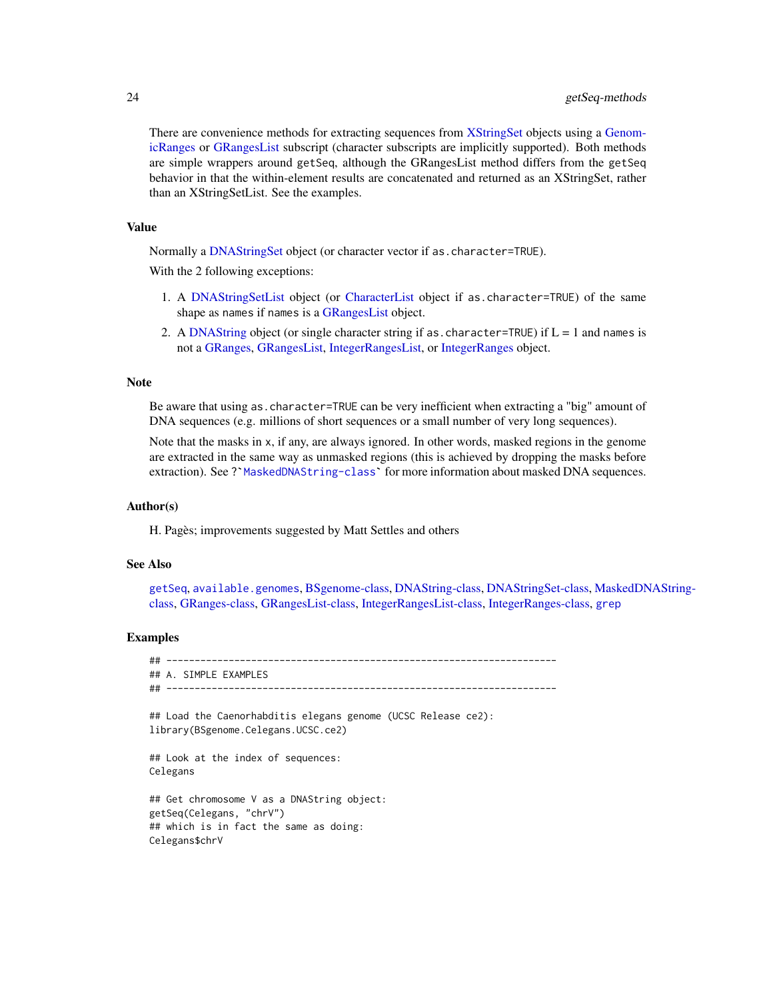<span id="page-23-0"></span>There are convenience methods for extracting sequences from [XStringSet](#page-0-0) objects using a [Genom](#page-0-0)[icRanges](#page-0-0) or [GRangesList](#page-0-0) subscript (character subscripts are implicitly supported). Both methods are simple wrappers around getSeq, although the GRangesList method differs from the getSeq behavior in that the within-element results are concatenated and returned as an XStringSet, rather than an XStringSetList. See the examples.

## Value

Normally a [DNAStringSet](#page-0-0) object (or character vector if as.character=TRUE).

With the 2 following exceptions:

- 1. A [DNAStringSetList](#page-0-0) object (or [CharacterList](#page-0-0) object if as.character=TRUE) of the same shape as names if names is a [GRangesList](#page-0-0) object.
- 2. A [DNAString](#page-0-0) object (or single character string if as  $.$  character=TRUE) if  $L = 1$  and names is not a [GRanges,](#page-0-0) [GRangesList,](#page-0-0) [IntegerRangesList,](#page-0-0) or [IntegerRanges](#page-0-0) object.

## Note

Be aware that using as.character=TRUE can be very inefficient when extracting a "big" amount of DNA sequences (e.g. millions of short sequences or a small number of very long sequences).

Note that the masks in x, if any, are always ignored. In other words, masked regions in the genome are extracted in the same way as unmasked regions (this is achieved by dropping the masks before DNA sequences (e.g. millions of short sequences or a small number of very long sequences).<br>Note that the masks in x, if any, are always ignored. In other words, masked regions in the genome<br>are extracted in the same way as

## Author(s)

H. Pagès; improvements suggested by Matt Settles and others

## See Also

[getSeq](#page-21-1), [available.genomes](#page-1-1), [BSgenome-class,](#page-6-2) [DNAString-class,](#page-0-0) [DNAStringSet-class,](#page-0-0) [MaskedDN](#page-0-0)AString[class,](#page-0-0) [GRanges-class,](#page-0-0) [GRangesList-class,](#page-0-0) [IntegerRangesList-class,](#page-0-0) [IntegerRanges-class,](#page-0-0) [grep](#page-0-0)

#### Examples

## --------------------------------------------------------------------- ## A. SIMPLE EXAMPLES ## --------------------------------------------------------------------- ## Load the Caenorhabditis elegans genome (UCSC Release ce2): library(BSgenome.Celegans.UCSC.ce2) ## Look at the index of sequences: Celegans ## Get chromosome V as a DNAString object: getSeq(Celegans, "chrV") ## which is in fact the same as doing: Celegans\$chrV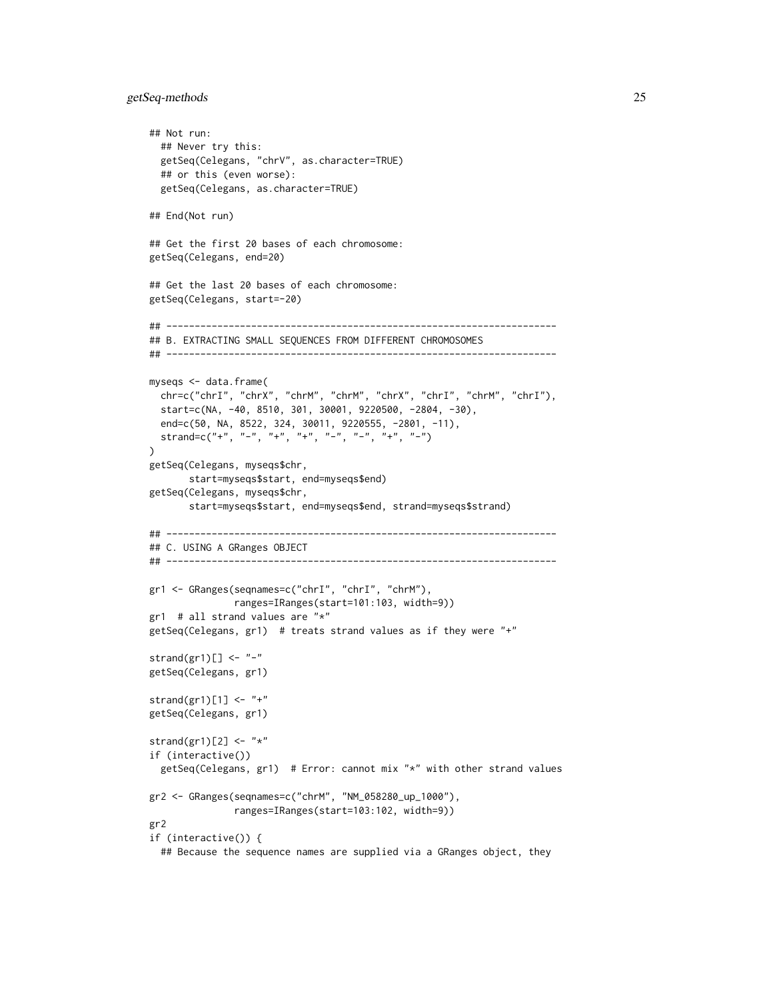## getSeq-methods 25

```
## Not run:
  ## Never try this:
  getSeq(Celegans, "chrV", as.character=TRUE)
  ## or this (even worse):
  getSeq(Celegans, as.character=TRUE)
## End(Not run)
## Get the first 20 bases of each chromosome:
getSeq(Celegans, end=20)
## Get the last 20 bases of each chromosome:
getSeq(Celegans, start=-20)
## ---------------------------------------------------------------------
## B. EXTRACTING SMALL SEQUENCES FROM DIFFERENT CHROMOSOMES
## ---------------------------------------------------------------------
myseqs <- data.frame(
  chr=c("chrI", "chrX", "chrM", "chrM", "chrX", "chrI", "chrM", "chrI"),
  start=c(NA, -40, 8510, 301, 30001, 9220500, -2804, -30),
  end=c(50, NA, 8522, 324, 30011, 9220555, -2801, -11),
  strand=c("+", "-", "+", "+", "-", "-", "+", "-")
\lambdagetSeq(Celegans, myseqs$chr,
       start=myseqs$start, end=myseqs$end)
getSeq(Celegans, myseqs$chr,
       start=myseqs$start, end=myseqs$end, strand=myseqs$strand)
## ---------------------------------------------------------------------
## C. USING A GRanges OBJECT
## ---------------------------------------------------------------------
gr1 <- GRanges(seqnames=c("chrI", "chrI", "chrM"),
               ranges=IRanges(start=101:103, width=9))
gr1 # all strand values are "*"
getSeq(Celegans, gr1) # treats strand values as if they were "+"
strand(gr1)[ \leq "-"
getSeq(Celegans, gr1)
strand(gr1)[1] <- "+"
getSeq(Celegans, gr1)
strand(gr1)[2] \leftarrow "*"
if (interactive())
  getSeq(Celegans, gr1) # Error: cannot mix "*" with other strand values
gr2 <- GRanges(seqnames=c("chrM", "NM_058280_up_1000"),
               ranges=IRanges(start=103:102, width=9))
gr2
if (interactive()) {
  ## Because the sequence names are supplied via a GRanges object, they
```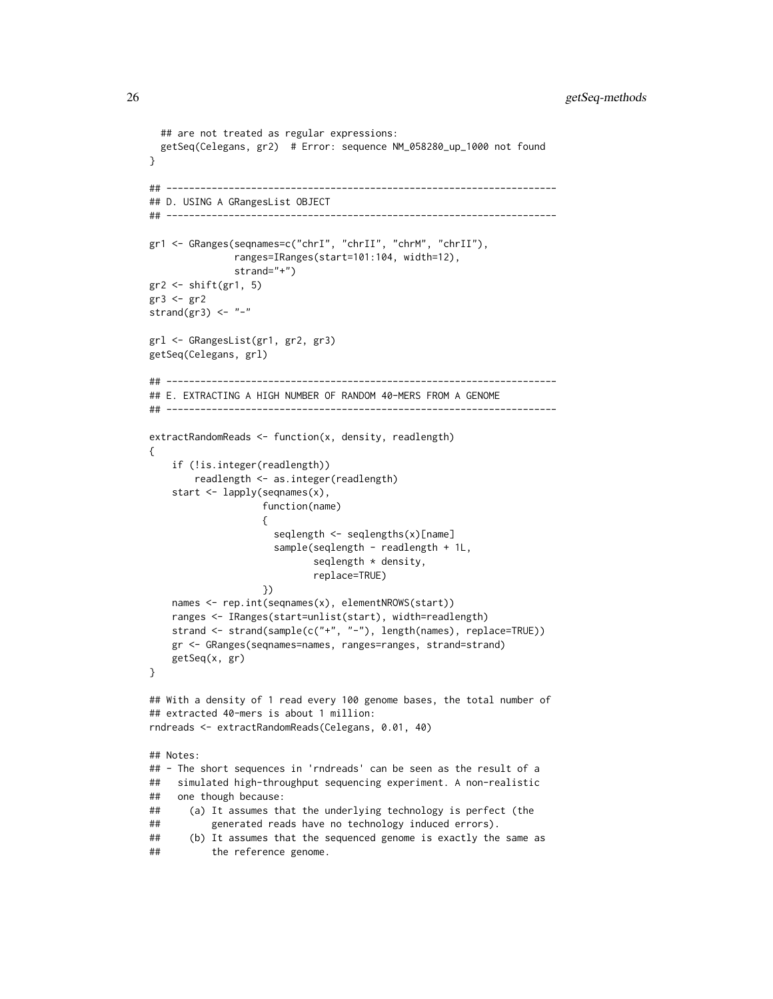```
## are not treated as regular expressions:
 getSeq(Celegans, gr2) # Error: sequence NM_058280_up_1000 not found
}
## ---------------------------------------------------------------------
## D. USING A GRangesList OBJECT
## ---------------------------------------------------------------------
gr1 <- GRanges(seqnames=c("chrI", "chrII", "chrM", "chrII"),
              ranges=IRanges(start=101:104, width=12),
               strand="+")
gr2 <- shift(gr1, 5)
gr3 <- gr2
strand(gr3) <- "-"
grl <- GRangesList(gr1, gr2, gr3)
getSeq(Celegans, grl)
## ---------------------------------------------------------------------
## E. EXTRACTING A HIGH NUMBER OF RANDOM 40-MERS FROM A GENOME
## ---------------------------------------------------------------------
extractRandomReads <- function(x, density, readlength)
{
    if (!is.integer(readlength))
       readlength <- as.integer(readlength)
    start <- lapply(seqnames(x),
                   function(name)
                    {
                     seqlength <- seqlengths(x)[name]
                     sample(seqlength - readlength + 1L,
                            seqlength * density,
                            replace=TRUE)
                    })
    names <- rep.int(seqnames(x), elementNROWS(start))
   ranges <- IRanges(start=unlist(start), width=readlength)
    strand <- strand(sample(c("+", "-"), length(names), replace=TRUE))
    gr <- GRanges(seqnames=names, ranges=ranges, strand=strand)
    getSeq(x, gr)
}
## With a density of 1 read every 100 genome bases, the total number of
## extracted 40-mers is about 1 million:
rndreads <- extractRandomReads(Celegans, 0.01, 40)
## Notes:
## - The short sequences in 'rndreads' can be seen as the result of a
## simulated high-throughput sequencing experiment. A non-realistic
## one though because:
## (a) It assumes that the underlying technology is perfect (the
## generated reads have no technology induced errors).
## (b) It assumes that the sequenced genome is exactly the same as
## the reference genome.
```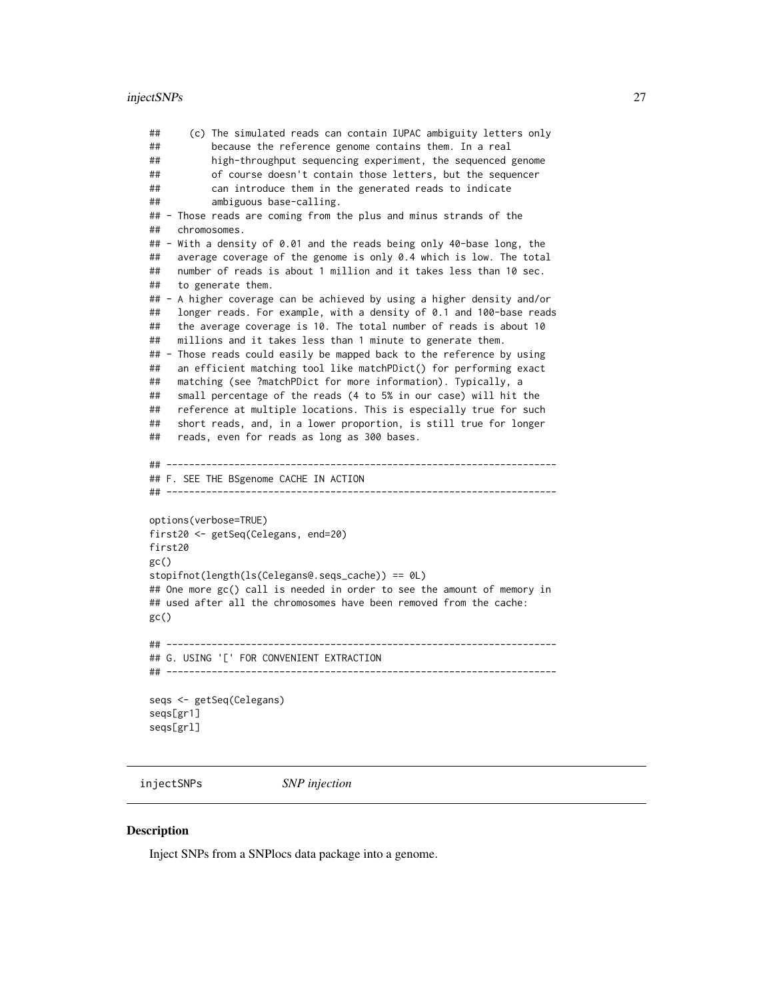#### <span id="page-26-0"></span>injectSNPs 27

## (c) The simulated reads can contain IUPAC ambiguity letters only ## because the reference genome contains them. In a real ## high-throughput sequencing experiment, the sequenced genome ## of course doesn't contain those letters, but the sequencer ## can introduce them in the generated reads to indicate ## ambiguous base-calling. ## - Those reads are coming from the plus and minus strands of the ## chromosomes. ## - With a density of 0.01 and the reads being only 40-base long, the ## average coverage of the genome is only 0.4 which is low. The total ## number of reads is about 1 million and it takes less than 10 sec. ## to generate them. ## - A higher coverage can be achieved by using a higher density and/or ## longer reads. For example, with a density of 0.1 and 100-base reads ## the average coverage is 10. The total number of reads is about 10 ## millions and it takes less than 1 minute to generate them. ## - Those reads could easily be mapped back to the reference by using ## an efficient matching tool like matchPDict() for performing exact ## matching (see ?matchPDict for more information). Typically, a ## small percentage of the reads (4 to 5% in our case) will hit the ## reference at multiple locations. This is especially true for such ## short reads, and, in a lower proportion, is still true for longer ## reads, even for reads as long as 300 bases. ## --------------------------------------------------------------------- ## F. SEE THE BSgenome CACHE IN ACTION ## -------------------------------------------------------------------- options(verbose=TRUE) first20 <- getSeq(Celegans, end=20) first20  $gc()$ stopifnot(length(ls(Celegans@.seqs\_cache)) == 0L) ## One more gc() call is needed in order to see the amount of memory in ## used after all the chromosomes have been removed from the cache:  $gc()$ ## --------------------------------------------------------------------- ## G. USING '[' FOR CONVENIENT EXTRACTION ## -------------------------------------------------------------------- seqs <- getSeq(Celegans) seqs[gr1] seqs[grl]

<span id="page-26-1"></span>injectSNPs *SNP injection*

#### <span id="page-26-2"></span>**Description**

Inject SNPs from a SNPlocs data package into a genome.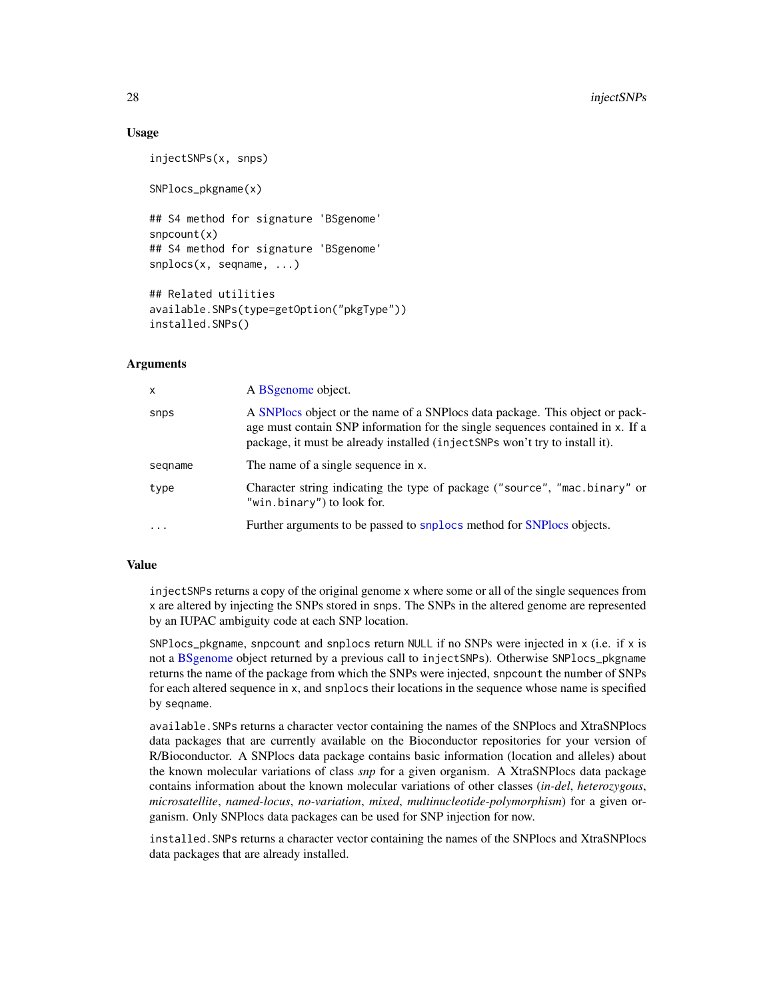## Usage

```
injectSNPs(x, snps)
```
SNPlocs\_pkgname(x)

## S4 method for signature 'BSgenome' snpcount(x) ## S4 method for signature 'BSgenome' snplocs(x, seqname, ...)

```
## Related utilities
available.SNPs(type=getOption("pkgType"))
installed.SNPs()
```
## Arguments

| $\mathsf{x}$ | A BSgenome object.                                                                                                                                                                                                                            |
|--------------|-----------------------------------------------------------------------------------------------------------------------------------------------------------------------------------------------------------------------------------------------|
| snps         | A SNPlocs object or the name of a SNPlocs data package. This object or pack-<br>age must contain SNP information for the single sequences contained in x. If a<br>package, it must be already installed (injectSNPs won't try to install it). |
| segname      | The name of a single sequence in x.                                                                                                                                                                                                           |
| type         | Character string indicating the type of package ("source", "mac.binary" or<br>"win.binary") to look for.                                                                                                                                      |
| $\cdots$     | Further arguments to be passed to snplocs method for SNPlocs objects.                                                                                                                                                                         |

## Value

injectSNPs returns a copy of the original genome x where some or all of the single sequences from x are altered by injecting the SNPs stored in snps. The SNPs in the altered genome are represented by an IUPAC ambiguity code at each SNP location.

SNPlocs\_pkgname, snpcount and snplocs return NULL if no SNPs were injected in x (i.e. if x is not a [BSgenome](#page-6-1) object returned by a previous call to injectSNPs). Otherwise SNPlocs\_pkgname returns the name of the package from which the SNPs were injected, snpcount the number of SNPs for each altered sequence in x, and snplocs their locations in the sequence whose name is specified by seqname.

available.SNPs returns a character vector containing the names of the SNPlocs and XtraSNPlocs data packages that are currently available on the Bioconductor repositories for your version of R/Bioconductor. A SNPlocs data package contains basic information (location and alleles) about the known molecular variations of class *snp* for a given organism. A XtraSNPlocs data package contains information about the known molecular variations of other classes (*in-del*, *heterozygous*, *microsatellite*, *named-locus*, *no-variation*, *mixed*, *multinucleotide-polymorphism*) for a given organism. Only SNPlocs data packages can be used for SNP injection for now.

installed.SNPs returns a character vector containing the names of the SNPlocs and XtraSNPlocs data packages that are already installed.

<span id="page-27-0"></span>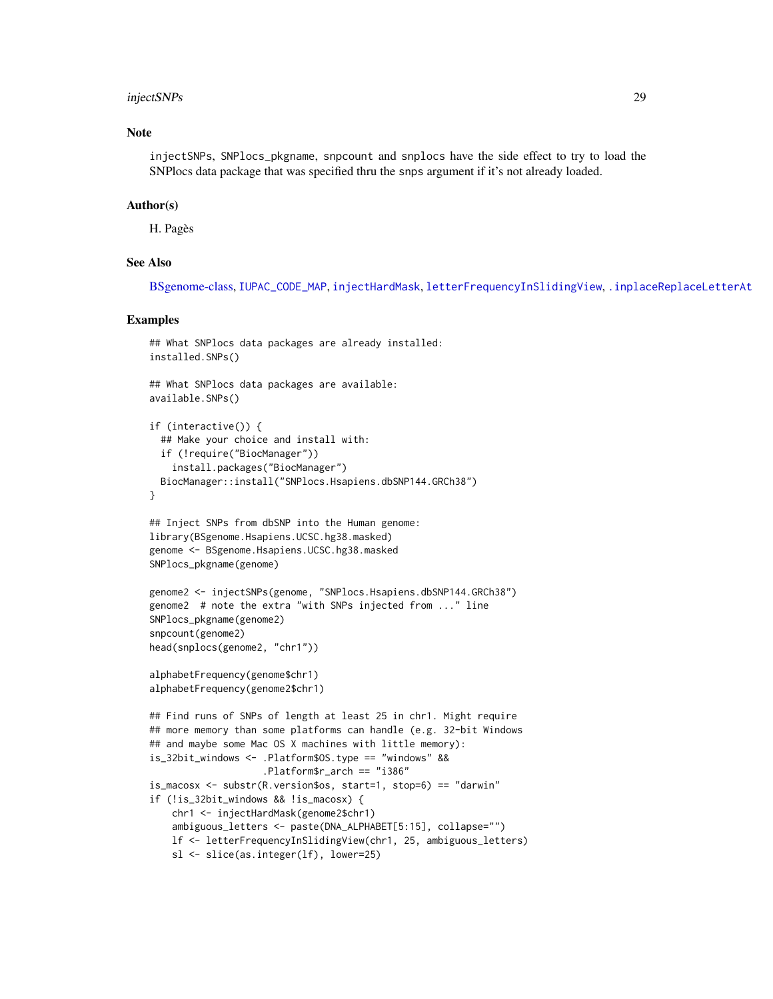## <span id="page-28-0"></span>injectSNPs 29

## Note

injectSNPs, SNPlocs\_pkgname, snpcount and snplocs have the side effect to try to load the SNPlocs data package that was specified thru the snps argument if it's not already loaded.

#### Author(s)

H. Pagès

## See Also

[BSgenome-class,](#page-6-2) [IUPAC\\_CODE\\_MAP](#page-0-0), [injectHardMask](#page-0-0), [letterFrequencyInSlidingView](#page-0-0), [.inplaceReplaceLetterAt](#page-0-0)

## Examples

```
## What SNPlocs data packages are already installed:
installed.SNPs()
## What SNPlocs data packages are available:
available.SNPs()
if (interactive()) {
 ## Make your choice and install with:
 if (!require("BiocManager"))
    install.packages("BiocManager")
 BiocManager::install("SNPlocs.Hsapiens.dbSNP144.GRCh38")
}
## Inject SNPs from dbSNP into the Human genome:
library(BSgenome.Hsapiens.UCSC.hg38.masked)
genome <- BSgenome.Hsapiens.UCSC.hg38.masked
SNPlocs_pkgname(genome)
genome2 <- injectSNPs(genome, "SNPlocs.Hsapiens.dbSNP144.GRCh38")
genome2 # note the extra "with SNPs injected from ..." line
SNPlocs_pkgname(genome2)
snpcount(genome2)
head(snplocs(genome2, "chr1"))
alphabetFrequency(genome$chr1)
alphabetFrequency(genome2$chr1)
## Find runs of SNPs of length at least 25 in chr1. Might require
## more memory than some platforms can handle (e.g. 32-bit Windows
## and maybe some Mac OS X machines with little memory):
is_32bit_windows <- .Platform$OS.type == "windows" &&
                    .Platform$r_arch == "i386"
is_macosx <- substr(R.version$os, start=1, stop=6) == "darwin"
if (!is_32bit_windows && !is_macosx) {
   chr1 <- injectHardMask(genome2$chr1)
    ambiguous_letters <- paste(DNA_ALPHABET[5:15], collapse="")
   lf <- letterFrequencyInSlidingView(chr1, 25, ambiguous_letters)
   sl <- slice(as.integer(lf), lower=25)
```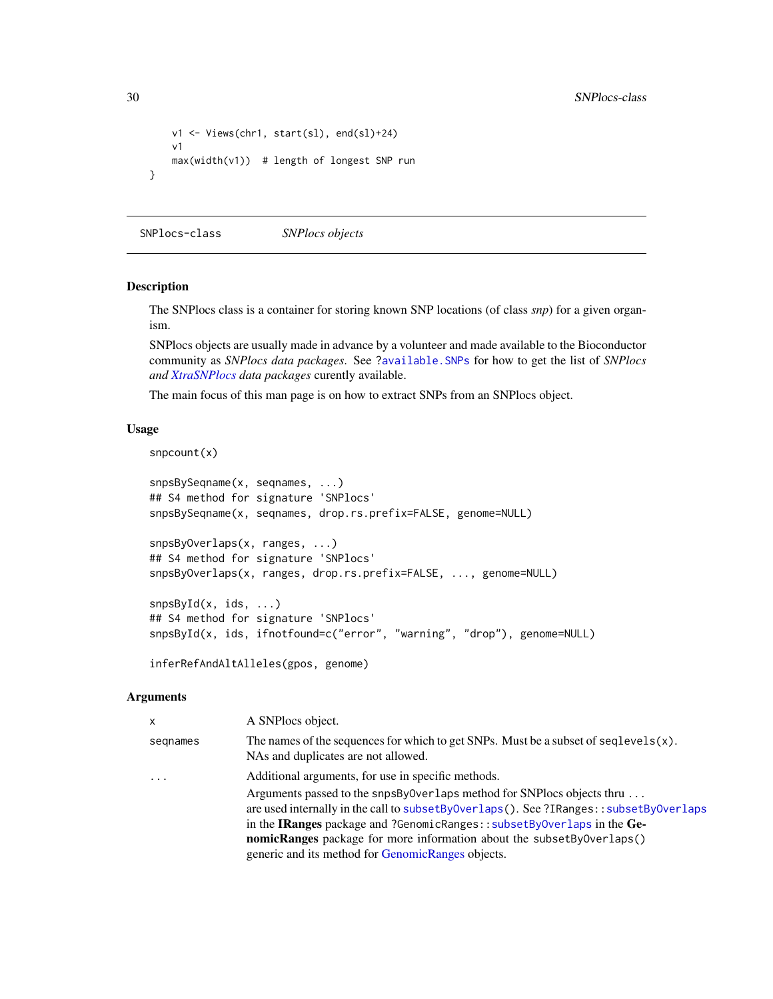```
v1 <- Views(chr1, start(sl), end(sl)+24)
   v1
   max(width(v1)) # length of longest SNP run
}
```
SNPlocs-class *SNPlocs objects*

#### <span id="page-29-1"></span>Description

The SNPlocs class is a container for storing known SNP locations (of class *snp*) for a given organism.

SNPlocs objects are usually made in advance by a volunteer and made available to the Bioconductor community as *SNPlocs data packages*. See [?available.SNPs](#page-26-2) for how to get the list of *SNPlocs and [XtraSNPlocs](#page-33-1) data packages* curently available.

The main focus of this man page is on how to extract SNPs from an SNPlocs object.

## Usage

```
snpcount(x)
```

```
snpsBySeqname(x, seqnames, ...)
## S4 method for signature 'SNPlocs'
snpsBySeqname(x, seqnames, drop.rs.prefix=FALSE, genome=NULL)
snpsByOverlaps(x, ranges, ...)
## S4 method for signature 'SNPlocs'
snpsByOverlaps(x, ranges, drop.rs.prefix=FALSE, ..., genome=NULL)
snpsById(x, ids, ...)
## S4 method for signature 'SNPlocs'
snpsById(x, ids, ifnotfound=c("error", "warning", "drop"), genome=NULL)
```
inferRefAndAltAlleles(gpos, genome)

## Arguments

| $\mathsf{x}$            | A SNPlocs object.                                                                                                                                                                                                                                                                                                                                                                        |
|-------------------------|------------------------------------------------------------------------------------------------------------------------------------------------------------------------------------------------------------------------------------------------------------------------------------------------------------------------------------------------------------------------------------------|
| segnames                | The names of the sequences for which to get SNPs. Must be a subset of seqlevels $(x)$ .<br>NAs and duplicates are not allowed.                                                                                                                                                                                                                                                           |
| $\cdot$ $\cdot$ $\cdot$ | Additional arguments, for use in specific methods.                                                                                                                                                                                                                                                                                                                                       |
|                         | Arguments passed to the snpsByOverlaps method for SNP locs objects thru $\dots$<br>are used internally in the call to subsetByOverlaps(). See ?IRanges::subsetByOverlaps<br>in the IRanges package and ?GenomicRanges:: subsetByOverlaps in the Ge-<br><b>nomicRanges</b> package for more information about the subsetBy0verlaps()<br>generic and its method for GenomicRanges objects. |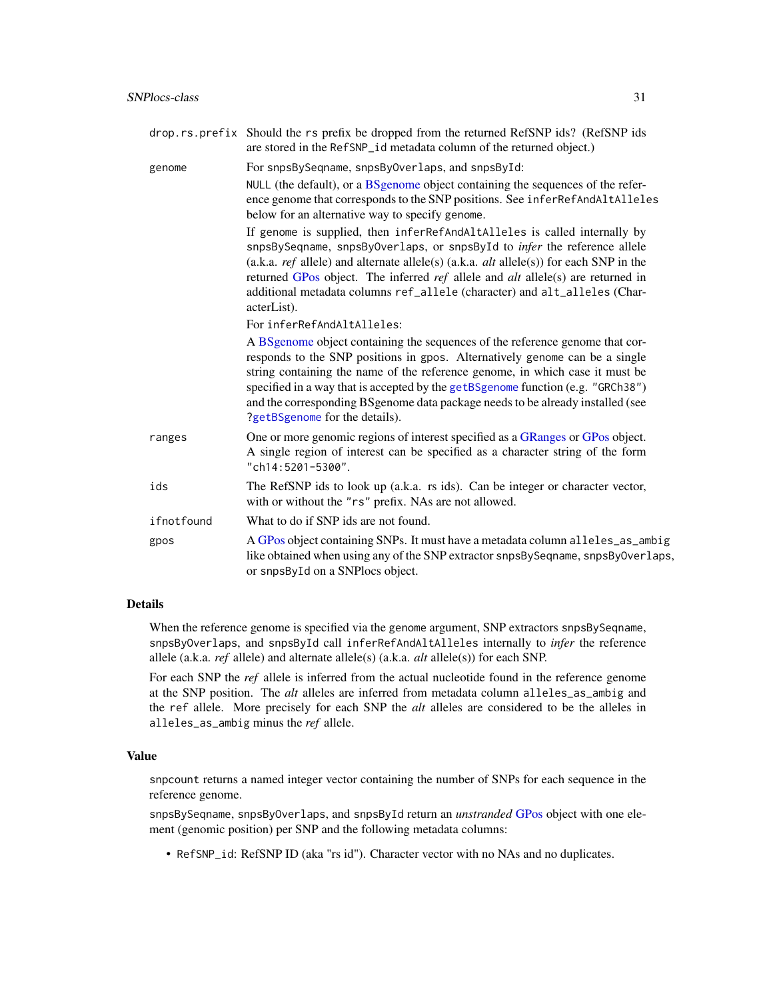<span id="page-30-0"></span>

| genome     | For snpsBySeqname, snpsByOverlaps, and snpsById:                                                                                                                                                                                                                                                                                                                                                                                                                  |
|------------|-------------------------------------------------------------------------------------------------------------------------------------------------------------------------------------------------------------------------------------------------------------------------------------------------------------------------------------------------------------------------------------------------------------------------------------------------------------------|
|            | NULL (the default), or a BSgenome object containing the sequences of the refer-<br>ence genome that corresponds to the SNP positions. See inferRefAndAltAlleles                                                                                                                                                                                                                                                                                                   |
|            | below for an alternative way to specify genome.                                                                                                                                                                                                                                                                                                                                                                                                                   |
|            | If genome is supplied, then inferRefAndAltAlleles is called internally by<br>snpsBySeqname, snpsByOverlaps, or snpsById to <i>infer</i> the reference allele<br>(a.k.a. <i>ref</i> allele) and alternate allele(s) (a.k.a. <i>alt</i> allele(s)) for each SNP in the<br>returned GPos object. The inferred <i>ref</i> allele and <i>alt</i> allele(s) are returned in<br>additional metadata columns ref_allele (character) and alt_alleles (Char-<br>acterList). |
|            | For inferRefAndAltAlleles:                                                                                                                                                                                                                                                                                                                                                                                                                                        |
|            | A BSgenome object containing the sequences of the reference genome that cor-<br>responds to the SNP positions in gpos. Alternatively genome can be a single<br>string containing the name of the reference genome, in which case it must be<br>specified in a way that is accepted by the getBSgenome function (e.g. "GRCh38")<br>and the corresponding BSgenome data package needs to be already installed (see<br>?getBSgenome for the details).                |
| ranges     | One or more genomic regions of interest specified as a GRanges or GPos object.<br>A single region of interest can be specified as a character string of the form<br>"ch14:5201-5300".                                                                                                                                                                                                                                                                             |
| ids        | The RefSNP ids to look up (a.k.a. rs ids). Can be integer or character vector,<br>with or without the "rs" prefix. NAs are not allowed.                                                                                                                                                                                                                                                                                                                           |
| ifnotfound | What to do if SNP ids are not found.                                                                                                                                                                                                                                                                                                                                                                                                                              |
| gpos       | A GPos object containing SNPs. It must have a metadata column alleles_as_ambig<br>like obtained when using any of the SNP extractor snpsBySeqname, snpsByOverlaps,<br>or snpsById on a SNPlocs object.                                                                                                                                                                                                                                                            |

## Details

When the reference genome is specified via the genome argument, SNP extractors snpsBySeqname, snpsByOverlaps, and snpsById call inferRefAndAltAlleles internally to *infer* the reference allele (a.k.a. *ref* allele) and alternate allele(s) (a.k.a. *alt* allele(s)) for each SNP.

For each SNP the *ref* allele is inferred from the actual nucleotide found in the reference genome at the SNP position. The *alt* alleles are inferred from metadata column alleles\_as\_ambig and the ref allele. More precisely for each SNP the *alt* alleles are considered to be the alleles in alleles\_as\_ambig minus the *ref* allele.

## Value

snpcount returns a named integer vector containing the number of SNPs for each sequence in the reference genome.

snpsBySeqname, snpsByOverlaps, and snpsById return an *unstranded* [GPos](#page-0-0) object with one element (genomic position) per SNP and the following metadata columns:

• RefSNP\_id: RefSNP ID (aka "rs id"). Character vector with no NAs and no duplicates.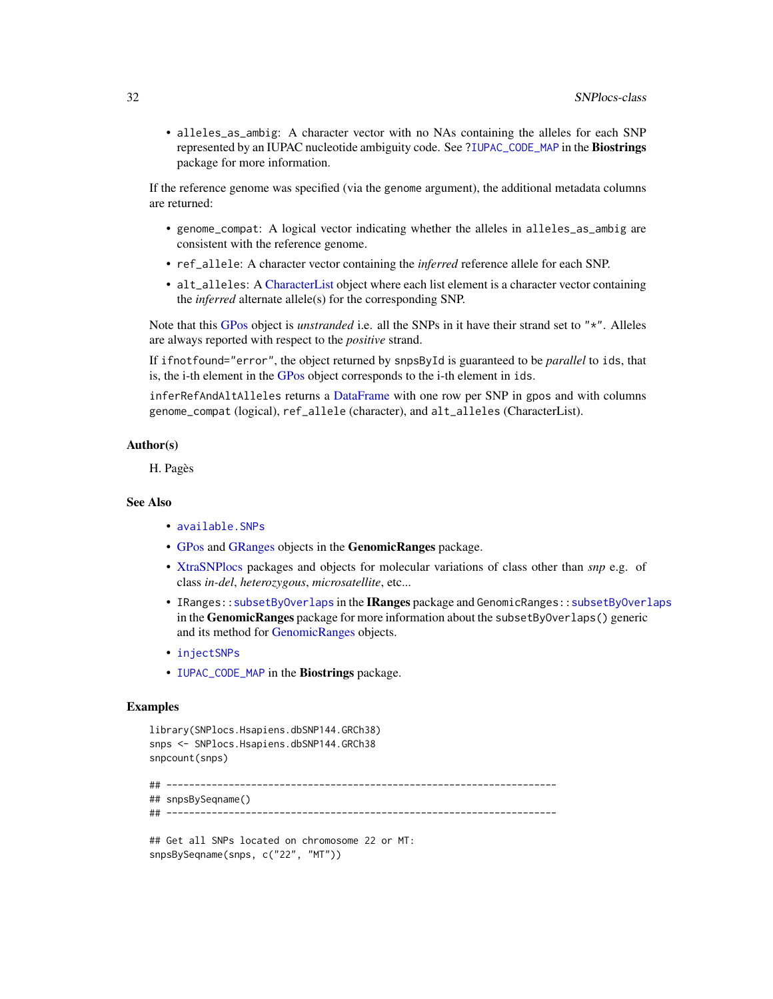<span id="page-31-0"></span>• alleles\_as\_ambig: A character vector with no NAs containing the alleles for each SNP represented by an IUPAC nucleotide ambiguity code. See [?IUPAC\\_CODE\\_MAP](#page-0-0) in the Biostrings package for more information.

If the reference genome was specified (via the genome argument), the additional metadata columns are returned:

- genome\_compat: A logical vector indicating whether the alleles in alleles\_as\_ambig are consistent with the reference genome.
- ref\_allele: A character vector containing the *inferred* reference allele for each SNP.
- alt\_alleles: A [CharacterList](#page-0-0) object where each list element is a character vector containing the *inferred* alternate allele(s) for the corresponding SNP.

Note that this [GPos](#page-0-0) object is *unstranded* i.e. all the SNPs in it have their strand set to "\*". Alleles are always reported with respect to the *positive* strand.

If ifnotfound="error", the object returned by snpsById is guaranteed to be *parallel* to ids, that is, the i-th element in the [GPos](#page-0-0) object corresponds to the i-th element in ids.

inferRefAndAltAlleles returns a [DataFrame](#page-0-0) with one row per SNP in gpos and with columns genome\_compat (logical), ref\_allele (character), and alt\_alleles (CharacterList).

#### Author(s)

H. Pagès

#### See Also

- [available.SNPs](#page-26-2)
- [GPos](#page-0-0) and [GRanges](#page-0-0) objects in the GenomicRanges package.
- [XtraSNPlocs](#page-33-1) packages and objects for molecular variations of class other than *snp* e.g. of class *in-del*, *heterozygous*, *microsatellite*, etc...
- IRanges:: subsetByOverlaps in the IRanges package and GenomicRanges:: subsetByOverlaps in the GenomicRanges package for more information about the subsetByOverlaps() generic and its method for [GenomicRanges](#page-0-0) objects.
- [injectSNPs](#page-26-1)
- [IUPAC\\_CODE\\_MAP](#page-0-0) in the Biostrings package.

#### Examples

```
library(SNPlocs.Hsapiens.dbSNP144.GRCh38)
snps <- SNPlocs.Hsapiens.dbSNP144.GRCh38
snpcount(snps)
## ---------------------------------------------------------------------
## snpsBySeqname()
## ---------------------------------------------------------------------
```
## Get all SNPs located on chromosome 22 or MT: snpsBySeqname(snps, c("22", "MT"))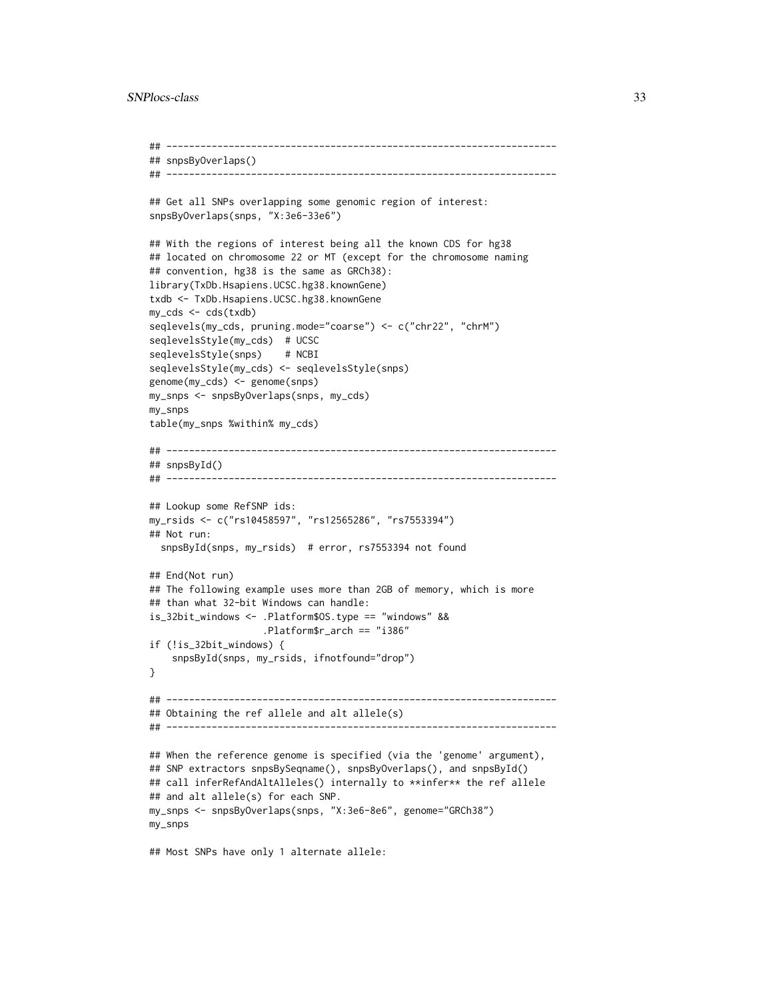```
## ---------------------------------------------------------------------
## snpsByOverlaps()
## ---------------------------------------------------------------------
## Get all SNPs overlapping some genomic region of interest:
snpsByOverlaps(snps, "X:3e6-33e6")
## With the regions of interest being all the known CDS for hg38
## located on chromosome 22 or MT (except for the chromosome naming
## convention, hg38 is the same as GRCh38):
library(TxDb.Hsapiens.UCSC.hg38.knownGene)
txdb <- TxDb.Hsapiens.UCSC.hg38.knownGene
my_cds <- cds(txdb)
seqlevels(my_cds, pruning.mode="coarse") <- c("chr22", "chrM")
seqlevelsStyle(my_cds) # UCSC
seqlevelsStyle(snps) # NCBI
seqlevelsStyle(my_cds) <- seqlevelsStyle(snps)
genome(my_cds) <- genome(snps)
my_snps <- snpsByOverlaps(snps, my_cds)
my_snps
table(my_snps %within% my_cds)
## ---------------------------------------------------------------------
## snpsById()
## ---------------------------------------------------------------------
## Lookup some RefSNP ids:
my_rsids <- c("rs10458597", "rs12565286", "rs7553394")
## Not run:
  snpsById(snps, my_rsids) # error, rs7553394 not found
## End(Not run)
## The following example uses more than 2GB of memory, which is more
## than what 32-bit Windows can handle:
is_32bit_windows <- .Platform$OS.type == "windows" &&
                    .Platform$r_arch == "i386"
if (!is_32bit_windows) {
    snpsById(snps, my_rsids, ifnotfound="drop")
}
## ---------------------------------------------------------------------
## Obtaining the ref allele and alt allele(s)
## ---------------------------------------------------------------------
## When the reference genome is specified (via the 'genome' argument),
## SNP extractors snpsBySeqname(), snpsByOverlaps(), and snpsById()
## call inferRefAndAltAlleles() internally to **infer** the ref allele
## and alt allele(s) for each SNP.
my_snps <- snpsByOverlaps(snps, "X:3e6-8e6", genome="GRCh38")
my_snps
## Most SNPs have only 1 alternate allele:
```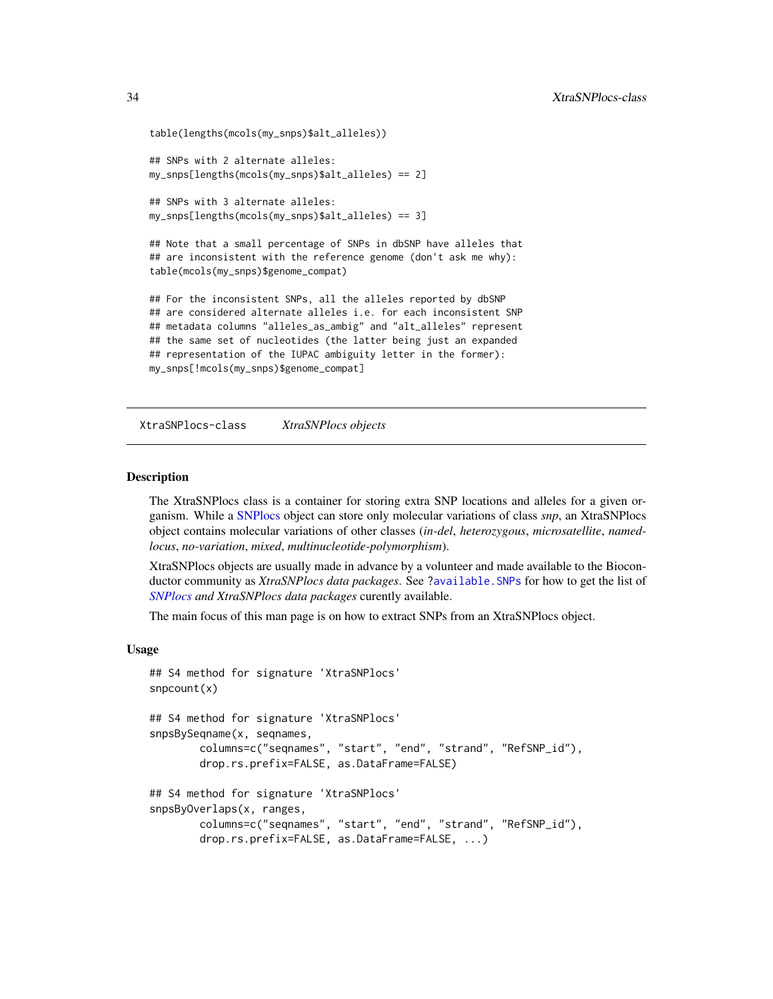```
table(lengths(mcols(my_snps)$alt_alleles))
## SNPs with 2 alternate alleles:
my_snps[lengths(mcols(my_snps)$alt_alleles) == 2]
## SNPs with 3 alternate alleles:
my_snps[lengths(mcols(my_snps)$alt_alleles) == 3]
## Note that a small percentage of SNPs in dbSNP have alleles that
## are inconsistent with the reference genome (don't ask me why):
table(mcols(my_snps)$genome_compat)
```
## For the inconsistent SNPs, all the alleles reported by dbSNP ## are considered alternate alleles i.e. for each inconsistent SNP ## metadata columns "alleles\_as\_ambig" and "alt\_alleles" represent ## the same set of nucleotides (the latter being just an expanded ## representation of the IUPAC ambiguity letter in the former): my\_snps[!mcols(my\_snps)\$genome\_compat]

XtraSNPlocs-class *XtraSNPlocs objects*

#### <span id="page-33-1"></span>Description

The XtraSNPlocs class is a container for storing extra SNP locations and alleles for a given organism. While a [SNPlocs](#page-29-1) object can store only molecular variations of class *snp*, an XtraSNPlocs object contains molecular variations of other classes (*in-del*, *heterozygous*, *microsatellite*, *namedlocus*, *no-variation*, *mixed*, *multinucleotide-polymorphism*).

XtraSNPlocs objects are usually made in advance by a volunteer and made available to the Bioconductor community as *XtraSNPlocs data packages*. See [?available.SNPs](#page-26-2) for how to get the list of *[SNPlocs](#page-29-1) and XtraSNPlocs data packages* curently available.

The main focus of this man page is on how to extract SNPs from an XtraSNPlocs object.

## Usage

```
## S4 method for signature 'XtraSNPlocs'
snpcount(x)
## S4 method for signature 'XtraSNPlocs'
snpsBySeqname(x, seqnames,
       columns=c("seqnames", "start", "end", "strand", "RefSNP_id"),
       drop.rs.prefix=FALSE, as.DataFrame=FALSE)
## S4 method for signature 'XtraSNPlocs'
snpsByOverlaps(x, ranges,
       columns=c("seqnames", "start", "end", "strand", "RefSNP_id"),
       drop.rs.prefix=FALSE, as.DataFrame=FALSE, ...)
```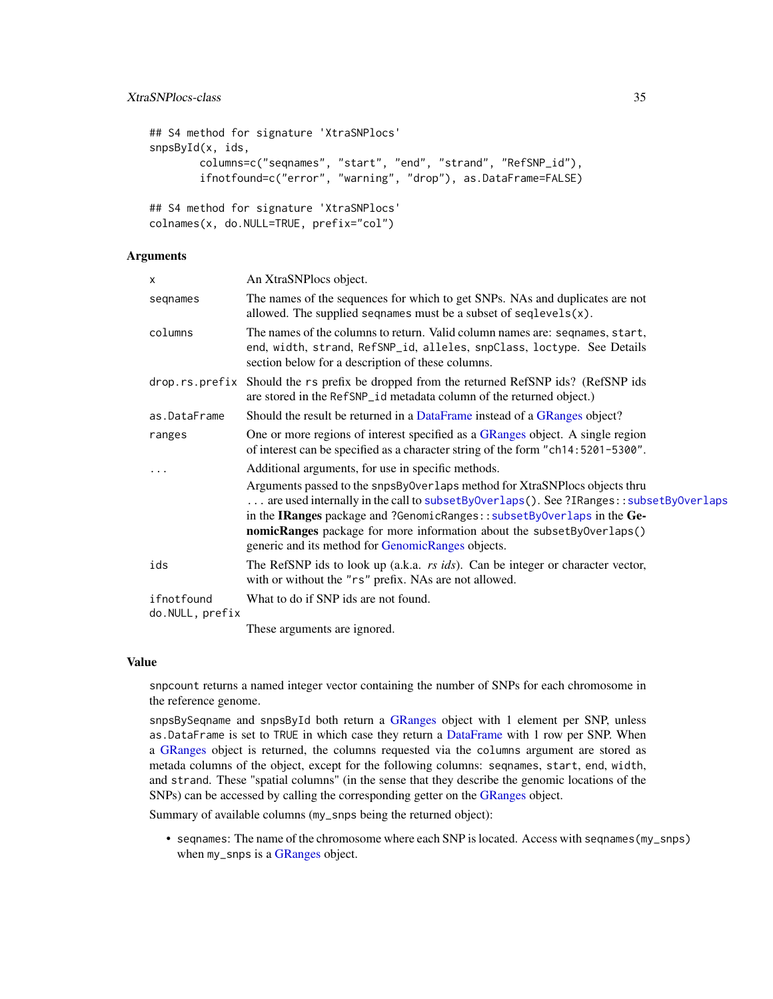```
## S4 method for signature 'XtraSNPlocs'
snpsById(x, ids,
       columns=c("seqnames", "start", "end", "strand", "RefSNP_id"),
       ifnotfound=c("error", "warning", "drop"), as.DataFrame=FALSE)
## S4 method for signature 'XtraSNPlocs'
```

```
colnames(x, do.NULL=TRUE, prefix="col")
```
## Arguments

| X                             | An XtraSNPlocs object.                                                                                                                                                                                                                                                                                                                                                       |
|-------------------------------|------------------------------------------------------------------------------------------------------------------------------------------------------------------------------------------------------------------------------------------------------------------------------------------------------------------------------------------------------------------------------|
| segnames                      | The names of the sequences for which to get SNPs. NAs and duplicates are not<br>allowed. The supplied sequalies must be a subset of sequal evels $(x)$ .                                                                                                                                                                                                                     |
| columns                       | The names of the columns to return. Valid column names are: seqnames, start,<br>end, width, strand, RefSNP_id, alleles, snpClass, loctype. See Details<br>section below for a description of these columns.                                                                                                                                                                  |
| drop.rs.prefix                | Should the rs prefix be dropped from the returned RefSNP ids? (RefSNP ids)<br>are stored in the RefSNP_id metadata column of the returned object.)                                                                                                                                                                                                                           |
| as.DataFrame                  | Should the result be returned in a DataFrame instead of a GRanges object?                                                                                                                                                                                                                                                                                                    |
| ranges                        | One or more regions of interest specified as a GRanges object. A single region<br>of interest can be specified as a character string of the form "ch14:5201-5300".                                                                                                                                                                                                           |
|                               | Additional arguments, for use in specific methods.                                                                                                                                                                                                                                                                                                                           |
|                               | Arguments passed to the snpsBy0verlaps method for XtraSNPlocs objects thru<br>are used internally in the call to subsetByOverlaps(). See ?IRanges::subsetByOverlaps<br>in the IRanges package and ?GenomicRanges:: subsetByOverlaps in the Ge-<br>nomicRanges package for more information about the subsetByOverlaps()<br>generic and its method for GenomicRanges objects. |
| ids                           | The RefSNP ids to look up (a.k.a. <i>rs ids</i> ). Can be integer or character vector,<br>with or without the "rs" prefix. NAs are not allowed.                                                                                                                                                                                                                              |
| ifnotfound<br>do.NULL, prefix | What to do if SNP ids are not found.                                                                                                                                                                                                                                                                                                                                         |
|                               | These arguments are ignored.                                                                                                                                                                                                                                                                                                                                                 |

#### Value

snpcount returns a named integer vector containing the number of SNPs for each chromosome in the reference genome.

snpsBySeqname and snpsById both return a [GRanges](#page-0-0) object with 1 element per SNP, unless as.DataFrame is set to TRUE in which case they return a [DataFrame](#page-0-0) with 1 row per SNP. When a [GRanges](#page-0-0) object is returned, the columns requested via the columns argument are stored as metada columns of the object, except for the following columns: seqnames, start, end, width, and strand. These "spatial columns" (in the sense that they describe the genomic locations of the SNPs) can be accessed by calling the corresponding getter on the [GRanges](#page-0-0) object.

Summary of available columns (my\_snps being the returned object):

• seqnames: The name of the chromosome where each SNP is located. Access with seqnames(my\_snps) when my\_snps is a [GRanges](#page-0-0) object.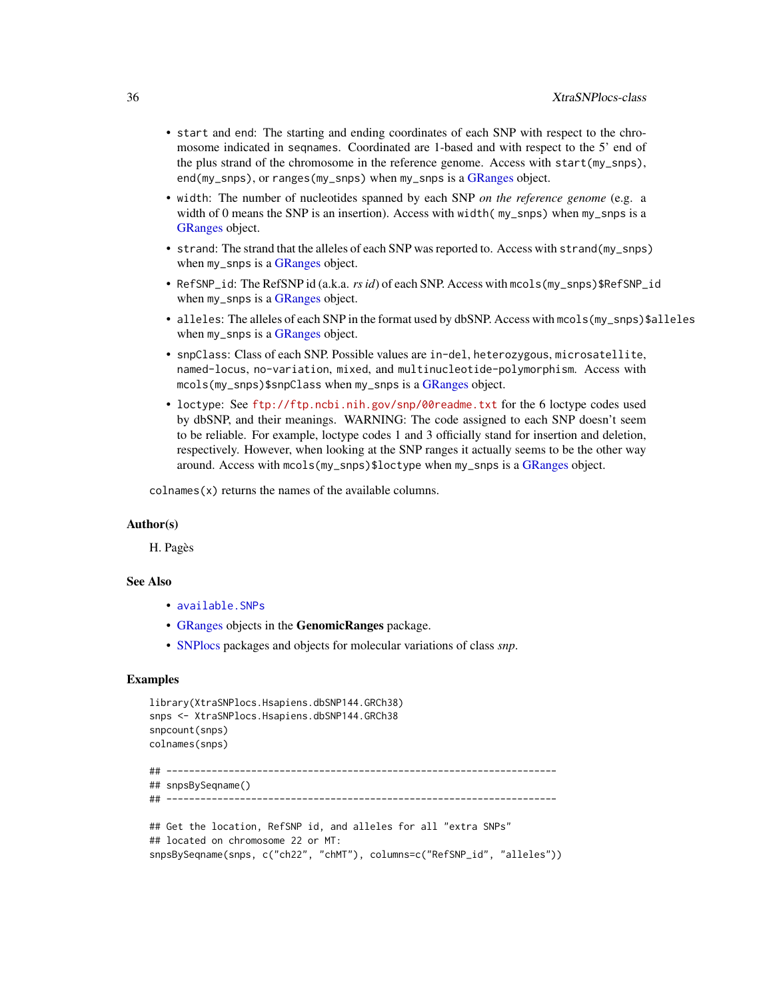- <span id="page-35-0"></span>• start and end: The starting and ending coordinates of each SNP with respect to the chromosome indicated in seqnames. Coordinated are 1-based and with respect to the 5' end of the plus strand of the chromosome in the reference genome. Access with start(my\_snps), end(my\_snps), or ranges(my\_snps) when my\_snps is a [GRanges](#page-0-0) object.
- width: The number of nucleotides spanned by each SNP *on the reference genome* (e.g. a width of 0 means the SNP is an insertion). Access with width ( $my_sp$ snps) when  $my_sp$  is a [GRanges](#page-0-0) object.
- strand: The strand that the alleles of each SNP was reported to. Access with strand(my\_snps) when my\_snps is a [GRanges](#page-0-0) object.
- RefSNP\_id: The RefSNP id (a.k.a. *rs id*) of each SNP. Access with mcols(my\_snps)\$RefSNP\_id when my\_snps is a [GRanges](#page-0-0) object.
- alleles: The alleles of each SNP in the format used by dbSNP. Access with mcols (my\_snps) \$alleles when my\_snps is a [GRanges](#page-0-0) object.
- snpClass: Class of each SNP. Possible values are in-del, heterozygous, microsatellite, named-locus, no-variation, mixed, and multinucleotide-polymorphism. Access with mcols(my\_snps)\$snpClass when my\_snps is a [GRanges](#page-0-0) object.
- loctype: See <ftp://ftp.ncbi.nih.gov/snp/00readme.txt> for the 6 loctype codes used by dbSNP, and their meanings. WARNING: The code assigned to each SNP doesn't seem to be reliable. For example, loctype codes 1 and 3 officially stand for insertion and deletion, respectively. However, when looking at the SNP ranges it actually seems to be the other way around. Access with mcols(my\_snps)\$loctype when my\_snps is a [GRanges](#page-0-0) object.

 $collnames(x)$  returns the names of the available columns.

## Author(s)

H. Pagès

## See Also

- [available.SNPs](#page-26-2)
- [GRanges](#page-0-0) objects in the GenomicRanges package.
- [SNPlocs](#page-29-1) packages and objects for molecular variations of class *snp*.

#### Examples

```
library(XtraSNPlocs.Hsapiens.dbSNP144.GRCh38)
snps <- XtraSNPlocs.Hsapiens.dbSNP144.GRCh38
snpcount(snps)
colnames(snps)
## ---------------------------------------------------------------------
## snpsBySeqname()
```

```
## ---------------------------------------------------------------------
```

```
## Get the location, RefSNP id, and alleles for all "extra SNPs"
## located on chromosome 22 or MT:
snpsBySeqname(snps, c("ch22", "chMT"), columns=c("RefSNP_id", "alleles"))
```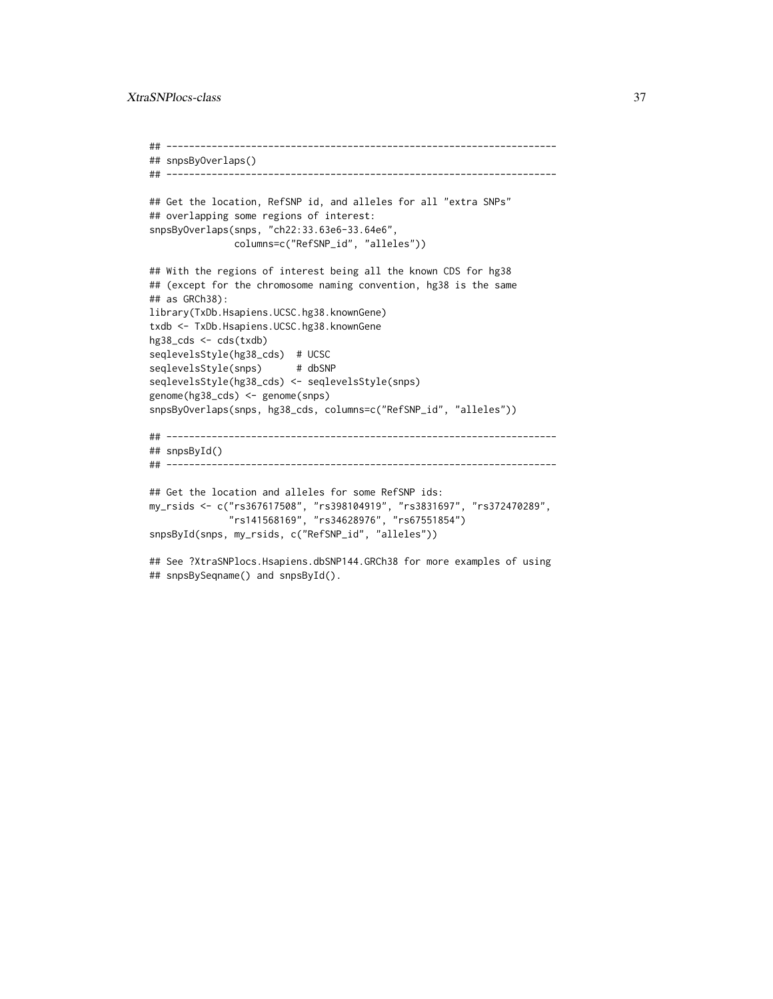```
## ---------------------------------------------------------------------
## snpsByOverlaps()
## ---------------------------------------------------------------------
## Get the location, RefSNP id, and alleles for all "extra SNPs"
## overlapping some regions of interest:
snpsByOverlaps(snps, "ch22:33.63e6-33.64e6",
              columns=c("RefSNP_id", "alleles"))
## With the regions of interest being all the known CDS for hg38
## (except for the chromosome naming convention, hg38 is the same
## as GRCh38):
library(TxDb.Hsapiens.UCSC.hg38.knownGene)
txdb <- TxDb.Hsapiens.UCSC.hg38.knownGene
hg38_cds <- cds(txdb)
seqlevelsStyle(hg38_cds) # UCSC
seqlevelsStyle(snps) # dbSNP
seqlevelsStyle(hg38_cds) <- seqlevelsStyle(snps)
genome(hg38_cds) <- genome(snps)
snpsByOverlaps(snps, hg38_cds, columns=c("RefSNP_id", "alleles"))
## ---------------------------------------------------------------------
## snpsById()
## ---------------------------------------------------------------------
## Get the location and alleles for some RefSNP ids:
my_rsids <- c("rs367617508", "rs398104919", "rs3831697", "rs372470289",
              "rs141568169", "rs34628976", "rs67551854")
snpsById(snps, my_rsids, c("RefSNP_id", "alleles"))
## See ?XtraSNPlocs.Hsapiens.dbSNP144.GRCh38 for more examples of using
## snpsBySeqname() and snpsById().
```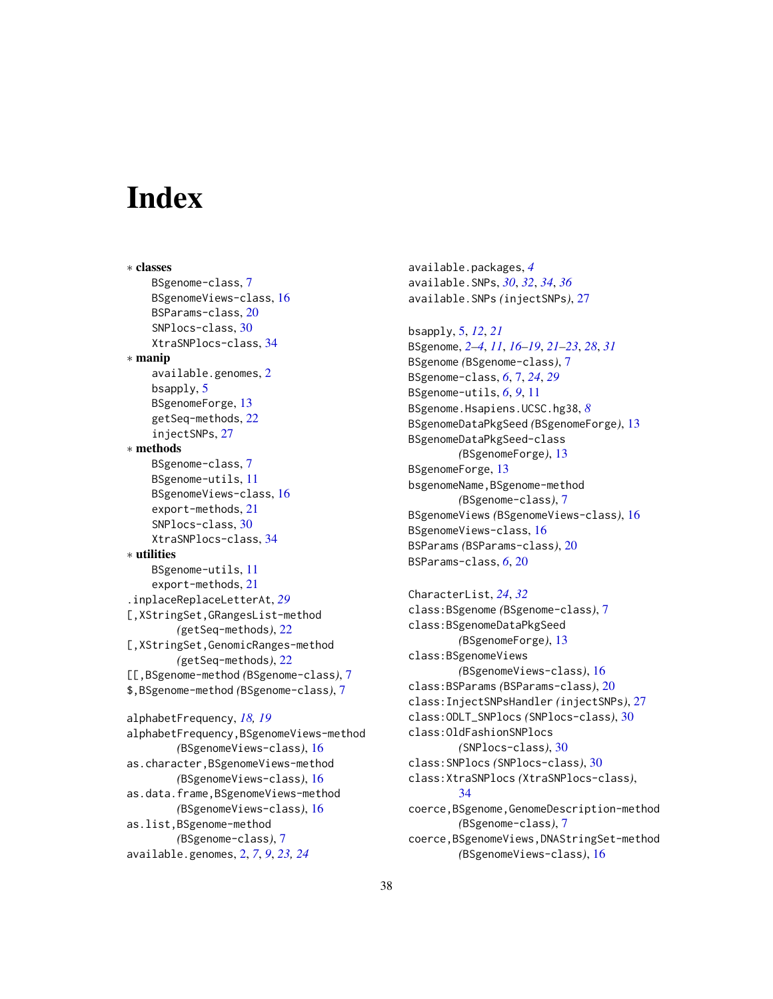# <span id="page-37-0"></span>**Index**

∗ classes BSgenome-class, [7](#page-6-0) BSgenomeViews-class, [16](#page-15-0) BSParams-class, [20](#page-19-0) SNPlocs-class, [30](#page-29-0) XtraSNPlocs-class, [34](#page-33-0) ∗ manip available.genomes, [2](#page-1-0) bsapply, [5](#page-4-0) BSgenomeForge, [13](#page-12-0) getSeq-methods, [22](#page-21-0) injectSNPs, [27](#page-26-0) ∗ methods BSgenome-class, [7](#page-6-0) BSgenome-utils, [11](#page-10-0) BSgenomeViews-class, [16](#page-15-0) export-methods, [21](#page-20-0) SNPlocs-class, [30](#page-29-0) XtraSNPlocs-class, [34](#page-33-0) ∗ utilities BSgenome-utils, [11](#page-10-0) export-methods, [21](#page-20-0) .inplaceReplaceLetterAt, *[29](#page-28-0)* [,XStringSet,GRangesList-method *(*getSeq-methods*)*, [22](#page-21-0) [,XStringSet,GenomicRanges-method *(*getSeq-methods*)*, [22](#page-21-0) [[,BSgenome-method *(*BSgenome-class*)*, [7](#page-6-0) \$,BSgenome-method *(*BSgenome-class*)*, [7](#page-6-0) alphabetFrequency, *[18,](#page-17-0) [19](#page-18-0)* alphabetFrequency,BSgenomeViews-method *(*BSgenomeViews-class*)*, [16](#page-15-0) as.character,BSgenomeViews-method *(*BSgenomeViews-class*)*, [16](#page-15-0) as.data.frame,BSgenomeViews-method *(*BSgenomeViews-class*)*, [16](#page-15-0) as.list,BSgenome-method *(*BSgenome-class*)*, [7](#page-6-0) available.genomes, [2,](#page-1-0) *[7](#page-6-0)*, *[9](#page-8-0)*, *[23,](#page-22-0) [24](#page-23-0)*

available.packages, *[4](#page-3-0)* available.SNPs, *[30](#page-29-0)*, *[32](#page-31-0)*, *[34](#page-33-0)*, *[36](#page-35-0)* available.SNPs *(*injectSNPs*)*, [27](#page-26-0)

bsapply, [5,](#page-4-0) *[12](#page-11-0)*, *[21](#page-20-0)* BSgenome, *[2](#page-1-0)[–4](#page-3-0)*, *[11](#page-10-0)*, *[16](#page-15-0)[–19](#page-18-0)*, *[21](#page-20-0)[–23](#page-22-0)*, *[28](#page-27-0)*, *[31](#page-30-0)* BSgenome *(*BSgenome-class*)*, [7](#page-6-0) BSgenome-class, *[6](#page-5-0)*, [7,](#page-6-0) *[24](#page-23-0)*, *[29](#page-28-0)* BSgenome-utils, *[6](#page-5-0)*, *[9](#page-8-0)*, [11](#page-10-0) BSgenome.Hsapiens.UCSC.hg38, *[8](#page-7-0)* BSgenomeDataPkgSeed *(*BSgenomeForge*)*, [13](#page-12-0) BSgenomeDataPkgSeed-class *(*BSgenomeForge*)*, [13](#page-12-0) BSgenomeForge, [13](#page-12-0) bsgenomeName,BSgenome-method *(*BSgenome-class*)*, [7](#page-6-0) BSgenomeViews *(*BSgenomeViews-class*)*, [16](#page-15-0) BSgenomeViews-class, [16](#page-15-0) BSParams *(*BSParams-class*)*, [20](#page-19-0) BSParams-class, *[6](#page-5-0)*, [20](#page-19-0)

CharacterList, *[24](#page-23-0)*, *[32](#page-31-0)* class:BSgenome *(*BSgenome-class*)*, [7](#page-6-0) class:BSgenomeDataPkgSeed *(*BSgenomeForge*)*, [13](#page-12-0) class:BSgenomeViews *(*BSgenomeViews-class*)*, [16](#page-15-0) class:BSParams *(*BSParams-class*)*, [20](#page-19-0) class:InjectSNPsHandler *(*injectSNPs*)*, [27](#page-26-0) class:ODLT\_SNPlocs *(*SNPlocs-class*)*, [30](#page-29-0) class:OldFashionSNPlocs *(*SNPlocs-class*)*, [30](#page-29-0) class:SNPlocs *(*SNPlocs-class*)*, [30](#page-29-0) class:XtraSNPlocs *(*XtraSNPlocs-class*)*, [34](#page-33-0) coerce,BSgenome,GenomeDescription-method *(*BSgenome-class*)*, [7](#page-6-0) coerce,BSgenomeViews,DNAStringSet-method *(*BSgenomeViews-class*)*, [16](#page-15-0)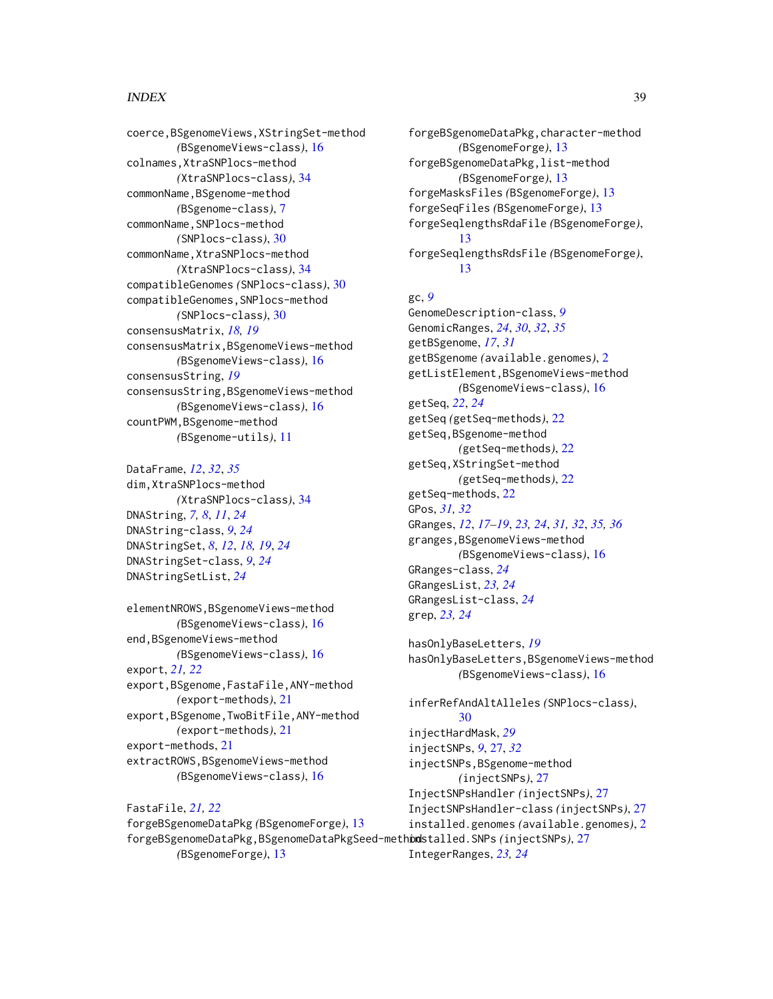## INDEX  $39$

coerce,BSgenomeViews,XStringSet-method *(*BSgenomeViews-class*)*, [16](#page-15-0) colnames,XtraSNPlocs-method *(*XtraSNPlocs-class*)*, [34](#page-33-0) commonName,BSgenome-method *(*BSgenome-class*)*, [7](#page-6-0) commonName,SNPlocs-method *(*SNPlocs-class*)*, [30](#page-29-0) commonName,XtraSNPlocs-method *(*XtraSNPlocs-class*)*, [34](#page-33-0) compatibleGenomes *(*SNPlocs-class*)*, [30](#page-29-0) compatibleGenomes,SNPlocs-method *(*SNPlocs-class*)*, [30](#page-29-0) consensusMatrix, *[18,](#page-17-0) [19](#page-18-0)* consensusMatrix,BSgenomeViews-method *(*BSgenomeViews-class*)*, [16](#page-15-0) consensusString, *[19](#page-18-0)* consensusString,BSgenomeViews-method *(*BSgenomeViews-class*)*, [16](#page-15-0) countPWM,BSgenome-method *(*BSgenome-utils*)*, [11](#page-10-0)

DataFrame, *[12](#page-11-0)*, *[32](#page-31-0)*, *[35](#page-34-0)* dim,XtraSNPlocs-method *(*XtraSNPlocs-class*)*, [34](#page-33-0) DNAString, *[7,](#page-6-0) [8](#page-7-0)*, *[11](#page-10-0)*, *[24](#page-23-0)* DNAString-class, *[9](#page-8-0)*, *[24](#page-23-0)* DNAStringSet, *[8](#page-7-0)*, *[12](#page-11-0)*, *[18,](#page-17-0) [19](#page-18-0)*, *[24](#page-23-0)* DNAStringSet-class, *[9](#page-8-0)*, *[24](#page-23-0)* DNAStringSetList, *[24](#page-23-0)*

elementNROWS,BSgenomeViews-method *(*BSgenomeViews-class*)*, [16](#page-15-0) end,BSgenomeViews-method *(*BSgenomeViews-class*)*, [16](#page-15-0) export, *[21,](#page-20-0) [22](#page-21-0)* export,BSgenome,FastaFile,ANY-method *(*export-methods*)*, [21](#page-20-0) export,BSgenome,TwoBitFile,ANY-method *(*export-methods*)*, [21](#page-20-0) export-methods, [21](#page-20-0) extractROWS,BSgenomeViews-method *(*BSgenomeViews-class*)*, [16](#page-15-0)

GRangesList-class, *[24](#page-23-0)* grep, *[23,](#page-22-0) [24](#page-23-0)* hasOnlyBaseLetters, *[19](#page-18-0) (*BSgenomeViews-class*)*, [16](#page-15-0) inferRefAndAltAlleles *(*SNPlocs-class*)*,

FastaFile, *[21,](#page-20-0) [22](#page-21-0)* forgeBSgenomeDataPkg *(*BSgenomeForge*)*, [13](#page-12-0) forgeBSgenomeDataPkg,BSgenomeDataPkgSeed-method installed.SNPs *(*injectSNPs*)*, [27](#page-26-0) *(*BSgenomeForge*)*, [13](#page-12-0) [30](#page-29-0) injectHardMask, *[29](#page-28-0)* injectSNPs, *[9](#page-8-0)*, [27,](#page-26-0) *[32](#page-31-0)* injectSNPs,BSgenome-method *(*injectSNPs*)*, [27](#page-26-0) InjectSNPsHandler *(*injectSNPs*)*, [27](#page-26-0) InjectSNPsHandler-class *(*injectSNPs*)*, [27](#page-26-0) installed.genomes *(*available.genomes*)*, [2](#page-1-0) IntegerRanges, *[23,](#page-22-0) [24](#page-23-0)*

forgeBSgenomeDataPkg,character-method *(*BSgenomeForge*)*, [13](#page-12-0) forgeBSgenomeDataPkg,list-method *(*BSgenomeForge*)*, [13](#page-12-0) forgeMasksFiles *(*BSgenomeForge*)*, [13](#page-12-0) forgeSeqFiles *(*BSgenomeForge*)*, [13](#page-12-0) forgeSeqlengthsRdaFile *(*BSgenomeForge*)*, [13](#page-12-0) forgeSeqlengthsRdsFile *(*BSgenomeForge*)*, [13](#page-12-0)

#### gc, *[9](#page-8-0)*

GenomeDescription-class, *[9](#page-8-0)* GenomicRanges, *[24](#page-23-0)*, *[30](#page-29-0)*, *[32](#page-31-0)*, *[35](#page-34-0)* getBSgenome, *[17](#page-16-0)*, *[31](#page-30-0)* getBSgenome *(*available.genomes*)*, [2](#page-1-0) getListElement,BSgenomeViews-method *(*BSgenomeViews-class*)*, [16](#page-15-0) getSeq, *[22](#page-21-0)*, *[24](#page-23-0)* getSeq *(*getSeq-methods*)*, [22](#page-21-0) getSeq,BSgenome-method *(*getSeq-methods*)*, [22](#page-21-0) getSeq,XStringSet-method *(*getSeq-methods*)*, [22](#page-21-0) getSeq-methods, [22](#page-21-0) GPos, *[31,](#page-30-0) [32](#page-31-0)* GRanges, *[12](#page-11-0)*, *[17](#page-16-0)[–19](#page-18-0)*, *[23,](#page-22-0) [24](#page-23-0)*, *[31,](#page-30-0) [32](#page-31-0)*, *[35,](#page-34-0) [36](#page-35-0)* granges,BSgenomeViews-method *(*BSgenomeViews-class*)*, [16](#page-15-0) GRanges-class, *[24](#page-23-0)* GRangesList, *[23,](#page-22-0) [24](#page-23-0)*

hasOnlyBaseLetters,BSgenomeViews-method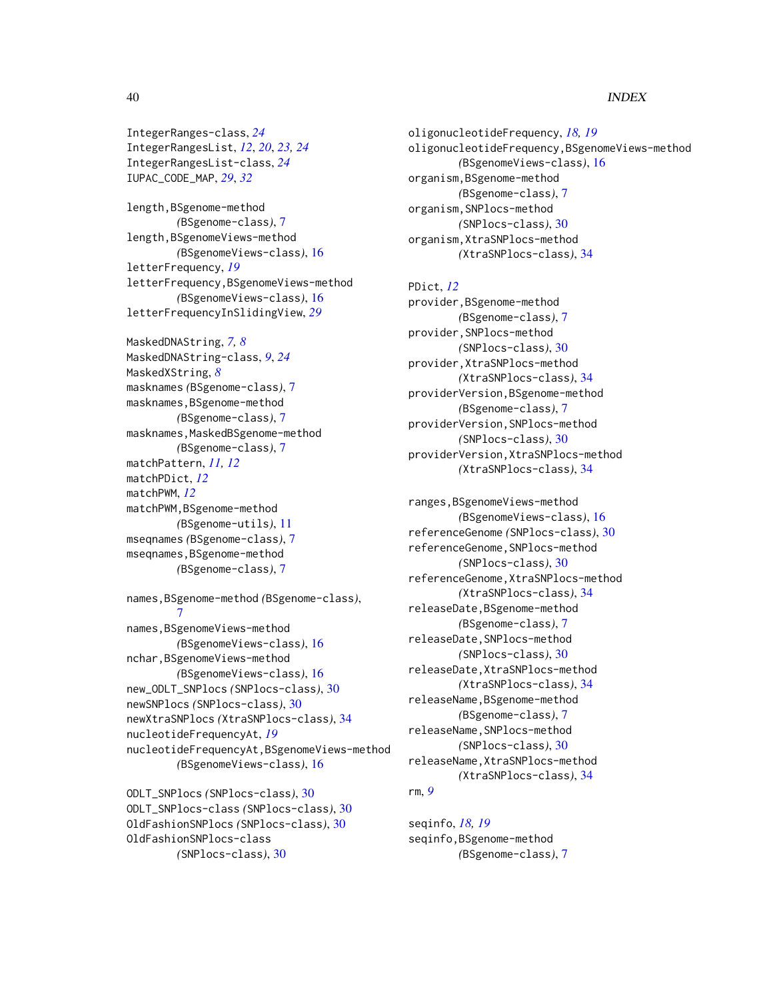## 40 INDEX

IntegerRanges-class, *[24](#page-23-0)* IntegerRangesList, *[12](#page-11-0)*, *[20](#page-19-0)*, *[23,](#page-22-0) [24](#page-23-0)* IntegerRangesList-class, *[24](#page-23-0)* IUPAC\_CODE\_MAP, *[29](#page-28-0)*, *[32](#page-31-0)*

length,BSgenome-method *(*BSgenome-class*)*, [7](#page-6-0) length,BSgenomeViews-method *(*BSgenomeViews-class*)*, [16](#page-15-0) letterFrequency, *[19](#page-18-0)* letterFrequency,BSgenomeViews-method *(*BSgenomeViews-class*)*, [16](#page-15-0) letterFrequencyInSlidingView, *[29](#page-28-0)*

MaskedDNAString, *[7,](#page-6-0) [8](#page-7-0)* MaskedDNAString-class, *[9](#page-8-0)*, *[24](#page-23-0)* MaskedXString, *[8](#page-7-0)* masknames *(*BSgenome-class*)*, [7](#page-6-0) masknames,BSgenome-method *(*BSgenome-class*)*, [7](#page-6-0) masknames, MaskedBSgenome-method *(*BSgenome-class*)*, [7](#page-6-0) matchPattern, *[11,](#page-10-0) [12](#page-11-0)* matchPDict, *[12](#page-11-0)* matchPWM, *[12](#page-11-0)* matchPWM,BSgenome-method *(*BSgenome-utils*)*, [11](#page-10-0) mseqnames *(*BSgenome-class*)*, [7](#page-6-0) mseqnames,BSgenome-method *(*BSgenome-class*)*, [7](#page-6-0)

names,BSgenome-method *(*BSgenome-class*)*, [7](#page-6-0) names,BSgenomeViews-method *(*BSgenomeViews-class*)*, [16](#page-15-0) nchar,BSgenomeViews-method *(*BSgenomeViews-class*)*, [16](#page-15-0) new\_ODLT\_SNPlocs *(*SNPlocs-class*)*, [30](#page-29-0) newSNPlocs *(*SNPlocs-class*)*, [30](#page-29-0) newXtraSNPlocs *(*XtraSNPlocs-class*)*, [34](#page-33-0) nucleotideFrequencyAt, *[19](#page-18-0)* nucleotideFrequencyAt,BSgenomeViews-method *(*BSgenomeViews-class*)*, [16](#page-15-0)

ODLT\_SNPlocs *(*SNPlocs-class*)*, [30](#page-29-0) ODLT\_SNPlocs-class *(*SNPlocs-class*)*, [30](#page-29-0) OldFashionSNPlocs *(*SNPlocs-class*)*, [30](#page-29-0) OldFashionSNPlocs-class *(*SNPlocs-class*)*, [30](#page-29-0)

oligonucleotideFrequency, *[18,](#page-17-0) [19](#page-18-0)* oligonucleotideFrequency,BSgenomeViews-method *(*BSgenomeViews-class*)*, [16](#page-15-0) organism,BSgenome-method *(*BSgenome-class*)*, [7](#page-6-0) organism,SNPlocs-method *(*SNPlocs-class*)*, [30](#page-29-0) organism,XtraSNPlocs-method *(*XtraSNPlocs-class*)*, [34](#page-33-0)

PDict, *[12](#page-11-0)* provider,BSgenome-method *(*BSgenome-class*)*, [7](#page-6-0) provider,SNPlocs-method *(*SNPlocs-class*)*, [30](#page-29-0) provider,XtraSNPlocs-method *(*XtraSNPlocs-class*)*, [34](#page-33-0) providerVersion,BSgenome-method *(*BSgenome-class*)*, [7](#page-6-0) providerVersion,SNPlocs-method *(*SNPlocs-class*)*, [30](#page-29-0) providerVersion,XtraSNPlocs-method *(*XtraSNPlocs-class*)*, [34](#page-33-0)

ranges,BSgenomeViews-method *(*BSgenomeViews-class*)*, [16](#page-15-0) referenceGenome *(*SNPlocs-class*)*, [30](#page-29-0) referenceGenome,SNPlocs-method *(*SNPlocs-class*)*, [30](#page-29-0) referenceGenome,XtraSNPlocs-method *(*XtraSNPlocs-class*)*, [34](#page-33-0) releaseDate,BSgenome-method *(*BSgenome-class*)*, [7](#page-6-0) releaseDate,SNPlocs-method *(*SNPlocs-class*)*, [30](#page-29-0) releaseDate,XtraSNPlocs-method *(*XtraSNPlocs-class*)*, [34](#page-33-0) releaseName,BSgenome-method *(*BSgenome-class*)*, [7](#page-6-0) releaseName,SNPlocs-method *(*SNPlocs-class*)*, [30](#page-29-0) releaseName,XtraSNPlocs-method *(*XtraSNPlocs-class*)*, [34](#page-33-0) rm, *[9](#page-8-0)*

seqinfo, *[18,](#page-17-0) [19](#page-18-0)* seqinfo,BSgenome-method *(*BSgenome-class*)*, [7](#page-6-0)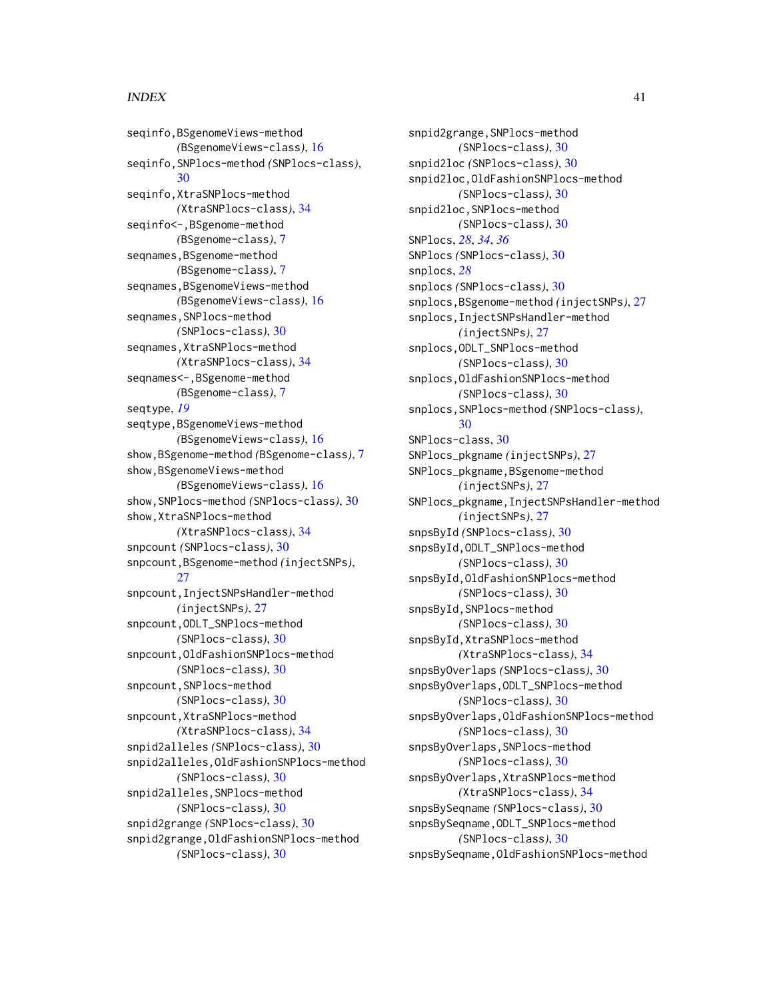#### $I<sub>N</sub>$  and  $I<sub>1</sub>$  and  $I<sub>2</sub>$  and  $I<sub>3</sub>$  and  $I<sub>4</sub>$  and  $I<sub>4</sub>$  and  $I<sub>4</sub>$  and  $I<sub>4</sub>$  and  $I<sub>4</sub>$  and  $I<sub>4</sub>$  and  $I<sub>4</sub>$  and  $I<sub>4</sub>$  and  $I<sub>4</sub>$  and  $I<sub>4</sub>$  and  $I<sub>4</sub>$  a

seqinfo,BSgenomeViews-method *(*BSgenomeViews-class*)*, [16](#page-15-0) seqinfo,SNPlocs-method *(*SNPlocs-class*)*, [30](#page-29-0) seqinfo,XtraSNPlocs-method *(*XtraSNPlocs-class*)*, [34](#page-33-0) seqinfo<-,BSgenome-method *(*BSgenome-class*)*, [7](#page-6-0) seqnames, BSgenome-method *(*BSgenome-class*)*, [7](#page-6-0) seqnames, BSgenomeViews-method *(*BSgenomeViews-class*)*, [16](#page-15-0) seqnames, SNPlocs-method *(*SNPlocs-class*)*, [30](#page-29-0) seqnames,XtraSNPlocs-method *(*XtraSNPlocs-class*)*, [34](#page-33-0) seqnames<-, BSgenome-method *(*BSgenome-class*)*, [7](#page-6-0) seqtype, *[19](#page-18-0)* seqtype,BSgenomeViews-method *(*BSgenomeViews-class*)*, [16](#page-15-0) show,BSgenome-method *(*BSgenome-class*)*, [7](#page-6-0) show,BSgenomeViews-method *(*BSgenomeViews-class*)*, [16](#page-15-0) show,SNPlocs-method *(*SNPlocs-class*)*, [30](#page-29-0) show,XtraSNPlocs-method *(*XtraSNPlocs-class*)*, [34](#page-33-0) snpcount *(*SNPlocs-class*)*, [30](#page-29-0) snpcount,BSgenome-method *(*injectSNPs*)*, [27](#page-26-0) snpcount,InjectSNPsHandler-method *(*injectSNPs*)*, [27](#page-26-0) snpcount,ODLT\_SNPlocs-method *(*SNPlocs-class*)*, [30](#page-29-0) snpcount,OldFashionSNPlocs-method *(*SNPlocs-class*)*, [30](#page-29-0) snpcount, SNPlocs-method *(*SNPlocs-class*)*, [30](#page-29-0) snpcount,XtraSNPlocs-method *(*XtraSNPlocs-class*)*, [34](#page-33-0) snpid2alleles *(*SNPlocs-class*)*, [30](#page-29-0) snpid2alleles,OldFashionSNPlocs-method *(*SNPlocs-class*)*, [30](#page-29-0) snpid2alleles,SNPlocs-method *(*SNPlocs-class*)*, [30](#page-29-0) snpid2grange *(*SNPlocs-class*)*, [30](#page-29-0) snpid2grange,OldFashionSNPlocs-method *(*SNPlocs-class*)*, [30](#page-29-0)

snpid2grange,SNPlocs-method *(*SNPlocs-class*)*, [30](#page-29-0) snpid2loc *(*SNPlocs-class*)*, [30](#page-29-0) snpid2loc,OldFashionSNPlocs-method *(*SNPlocs-class*)*, [30](#page-29-0) snpid2loc,SNPlocs-method *(*SNPlocs-class*)*, [30](#page-29-0) SNPlocs, *[28](#page-27-0)*, *[34](#page-33-0)*, *[36](#page-35-0)* SNPlocs *(*SNPlocs-class*)*, [30](#page-29-0) snplocs, *[28](#page-27-0)* snplocs *(*SNPlocs-class*)*, [30](#page-29-0) snplocs,BSgenome-method *(*injectSNPs*)*, [27](#page-26-0) snplocs,InjectSNPsHandler-method *(*injectSNPs*)*, [27](#page-26-0) snplocs,ODLT\_SNPlocs-method *(*SNPlocs-class*)*, [30](#page-29-0) snplocs,OldFashionSNPlocs-method *(*SNPlocs-class*)*, [30](#page-29-0) snplocs,SNPlocs-method *(*SNPlocs-class*)*, [30](#page-29-0) SNPlocs-class, [30](#page-29-0) SNPlocs\_pkgname *(*injectSNPs*)*, [27](#page-26-0) SNPlocs\_pkgname, BSgenome-method *(*injectSNPs*)*, [27](#page-26-0) SNPlocs\_pkgname,InjectSNPsHandler-method *(*injectSNPs*)*, [27](#page-26-0) snpsById *(*SNPlocs-class*)*, [30](#page-29-0) snpsById,ODLT\_SNPlocs-method *(*SNPlocs-class*)*, [30](#page-29-0) snpsById,OldFashionSNPlocs-method *(*SNPlocs-class*)*, [30](#page-29-0) snpsById,SNPlocs-method *(*SNPlocs-class*)*, [30](#page-29-0) snpsById,XtraSNPlocs-method *(*XtraSNPlocs-class*)*, [34](#page-33-0) snpsByOverlaps *(*SNPlocs-class*)*, [30](#page-29-0) snpsByOverlaps,ODLT\_SNPlocs-method *(*SNPlocs-class*)*, [30](#page-29-0) snpsByOverlaps,OldFashionSNPlocs-method *(*SNPlocs-class*)*, [30](#page-29-0) snpsByOverlaps,SNPlocs-method *(*SNPlocs-class*)*, [30](#page-29-0) snpsByOverlaps,XtraSNPlocs-method *(*XtraSNPlocs-class*)*, [34](#page-33-0) snpsBySeqname *(*SNPlocs-class*)*, [30](#page-29-0) snpsBySeqname,ODLT\_SNPlocs-method *(*SNPlocs-class*)*, [30](#page-29-0) snpsBySeqname,OldFashionSNPlocs-method